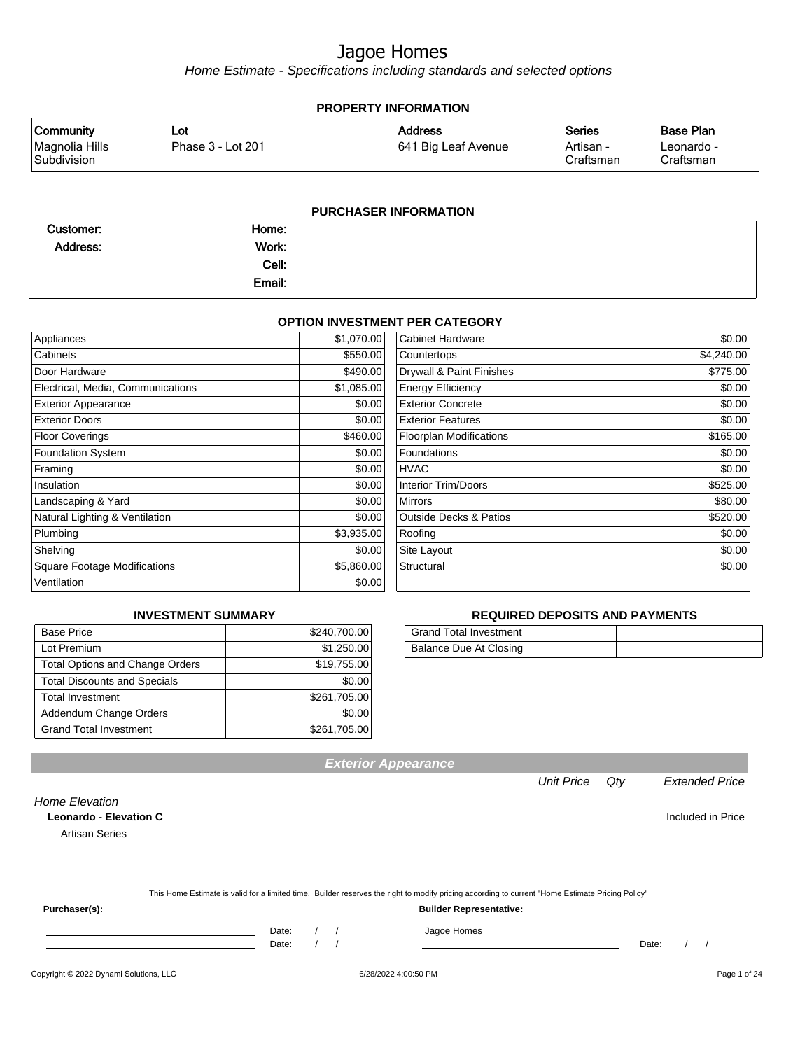Home Estimate - Specifications including standards and selected options

| <b>PROPERTY INFORMATION</b>                       |                          |                                       |                                  |                                             |  |  |  |  |
|---------------------------------------------------|--------------------------|---------------------------------------|----------------------------------|---------------------------------------------|--|--|--|--|
| <b>Community</b><br>Magnolia Hills<br>Subdivision | Lot<br>Phase 3 - Lot 201 | <b>Address</b><br>641 Big Leaf Avenue | Series<br>Artisan -<br>Craftsman | <b>Base Plan</b><br>Leonardo -<br>Craftsman |  |  |  |  |
| <b>PURCHASER INFORMATION</b>                      |                          |                                       |                                  |                                             |  |  |  |  |

| Customer: | Home:  |  |
|-----------|--------|--|
| Address:  | Work:  |  |
|           | Cell:  |  |
|           | Email: |  |

#### **OPTION INVESTMENT PER CATEGORY**

|                                     | \$1,070.00 | <b>Cabinet Hardware</b>           | \$0.00     |
|-------------------------------------|------------|-----------------------------------|------------|
| Appliances                          |            |                                   |            |
| Cabinets                            | \$550.00   | Countertops                       | \$4,240.00 |
| Door Hardware                       | \$490.00   | Drywall & Paint Finishes          | \$775.00   |
| Electrical, Media, Communications   | \$1,085.00 | <b>Energy Efficiency</b>          | \$0.00     |
| <b>Exterior Appearance</b>          | \$0.00     | <b>Exterior Concrete</b>          | \$0.00     |
| <b>Exterior Doors</b>               | \$0.00     | <b>Exterior Features</b>          | \$0.00     |
| <b>Floor Coverings</b>              | \$460.00   | <b>Floorplan Modifications</b>    | \$165.00   |
| <b>Foundation System</b>            | \$0.00     | Foundations                       | \$0.00     |
| Framing                             | \$0.00     | <b>HVAC</b>                       | \$0.00     |
| Insulation                          | \$0.00     | <b>Interior Trim/Doors</b>        | \$525.00   |
| Landscaping & Yard                  | \$0.00     | <b>Mirrors</b>                    | \$80.00    |
| Natural Lighting & Ventilation      | \$0.00     | <b>Outside Decks &amp; Patios</b> | \$520.00   |
| Plumbing                            | \$3,935.00 | Roofing                           | \$0.00     |
| Shelving                            | \$0.00     | Site Layout                       | \$0.00     |
| <b>Square Footage Modifications</b> | \$5,860.00 | Structural                        | \$0.00     |
| Ventilation                         | \$0.00     |                                   |            |

#### **INVESTMENT SUMMARY**

| <b>Base Price</b>                      | \$240,700.00 |
|----------------------------------------|--------------|
| Lot Premium                            | \$1,250.00   |
| <b>Total Options and Change Orders</b> | \$19,755.00  |
| <b>Total Discounts and Specials</b>    | \$0.00       |
| <b>Total Investment</b>                | \$261,705.00 |
| Addendum Change Orders                 | \$0.00       |
| <b>Grand Total Investment</b>          | \$261,705.00 |

#### **REQUIRED DEPOSITS AND PAYMENTS**

| <b>Grand Total Investment</b> |  |
|-------------------------------|--|
| Balance Due At Closing        |  |

| <b>Home Elevation</b>         |                   |
|-------------------------------|-------------------|
| <b>Leonardo - Elevation C</b> | Included in Price |
| Artisan Series                |                   |
|                               |                   |
|                               |                   |

This Home Estimate is valid for a limited time. Builder reserves the right to modify pricing according to current "Home Estimate Pricing Policy"

**Exterior Appearance**

**Purchaser(s): Builder Representative:**

Date: / / Jagoe Homes

Date: / / Date: / /

Unit Price Qty Extended Price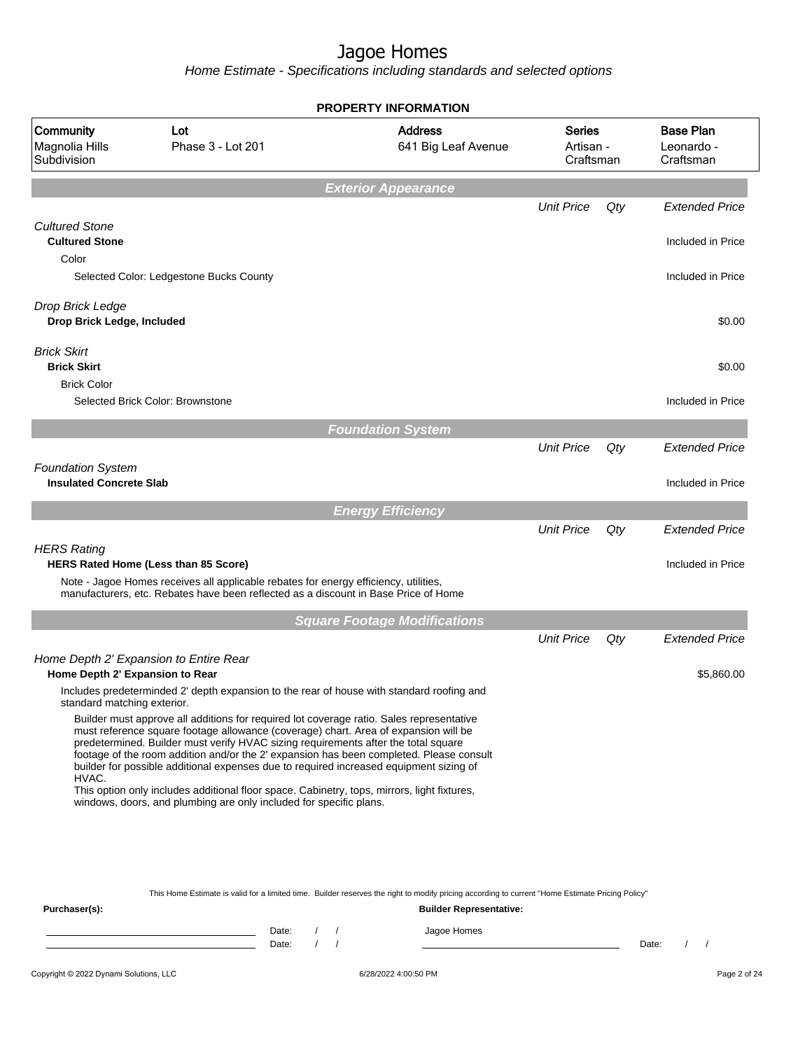Home Estimate - Specifications including standards and selected options

|                                                         |                                                                                                                                                                                                                                                                                                                                                                                                                                                                                                                                                                                                                                 | <b>PROPERTY INFORMATION</b>           |                                         |     |                                             |
|---------------------------------------------------------|---------------------------------------------------------------------------------------------------------------------------------------------------------------------------------------------------------------------------------------------------------------------------------------------------------------------------------------------------------------------------------------------------------------------------------------------------------------------------------------------------------------------------------------------------------------------------------------------------------------------------------|---------------------------------------|-----------------------------------------|-----|---------------------------------------------|
| Community<br>Magnolia Hills<br>Subdivision              | Lot<br>Phase 3 - Lot 201                                                                                                                                                                                                                                                                                                                                                                                                                                                                                                                                                                                                        | <b>Address</b><br>641 Big Leaf Avenue | <b>Series</b><br>Artisan -<br>Craftsman |     | <b>Base Plan</b><br>Leonardo -<br>Craftsman |
|                                                         |                                                                                                                                                                                                                                                                                                                                                                                                                                                                                                                                                                                                                                 | <b>Exterior Appearance</b>            |                                         |     |                                             |
|                                                         |                                                                                                                                                                                                                                                                                                                                                                                                                                                                                                                                                                                                                                 |                                       | <b>Unit Price</b>                       | Qty | <b>Extended Price</b>                       |
| <b>Cultured Stone</b><br><b>Cultured Stone</b><br>Color |                                                                                                                                                                                                                                                                                                                                                                                                                                                                                                                                                                                                                                 |                                       |                                         |     | Included in Price                           |
|                                                         | Selected Color: Ledgestone Bucks County                                                                                                                                                                                                                                                                                                                                                                                                                                                                                                                                                                                         |                                       |                                         |     | Included in Price                           |
| Drop Brick Ledge<br>Drop Brick Ledge, Included          |                                                                                                                                                                                                                                                                                                                                                                                                                                                                                                                                                                                                                                 |                                       |                                         |     | \$0.00                                      |
| <b>Brick Skirt</b><br><b>Brick Skirt</b>                |                                                                                                                                                                                                                                                                                                                                                                                                                                                                                                                                                                                                                                 |                                       |                                         |     | \$0.00                                      |
| <b>Brick Color</b>                                      | Selected Brick Color: Brownstone                                                                                                                                                                                                                                                                                                                                                                                                                                                                                                                                                                                                |                                       |                                         |     | Included in Price                           |
|                                                         |                                                                                                                                                                                                                                                                                                                                                                                                                                                                                                                                                                                                                                 | <b>Foundation System</b>              |                                         |     |                                             |
| <b>Foundation System</b>                                |                                                                                                                                                                                                                                                                                                                                                                                                                                                                                                                                                                                                                                 |                                       | <b>Unit Price</b>                       | Qty | <b>Extended Price</b>                       |
| <b>Insulated Concrete Slab</b>                          |                                                                                                                                                                                                                                                                                                                                                                                                                                                                                                                                                                                                                                 |                                       |                                         |     | Included in Price                           |
|                                                         |                                                                                                                                                                                                                                                                                                                                                                                                                                                                                                                                                                                                                                 | <b>Energy Efficiency</b>              |                                         |     |                                             |
| <b>HERS Rating</b>                                      |                                                                                                                                                                                                                                                                                                                                                                                                                                                                                                                                                                                                                                 |                                       | <b>Unit Price</b>                       | Qty | <b>Extended Price</b>                       |
|                                                         | HERS Rated Home (Less than 85 Score)<br>Note - Jagoe Homes receives all applicable rebates for energy efficiency, utilities,<br>manufacturers, etc. Rebates have been reflected as a discount in Base Price of Home                                                                                                                                                                                                                                                                                                                                                                                                             |                                       |                                         |     | Included in Price                           |
|                                                         |                                                                                                                                                                                                                                                                                                                                                                                                                                                                                                                                                                                                                                 | <b>Square Footage Modifications</b>   |                                         |     |                                             |
|                                                         |                                                                                                                                                                                                                                                                                                                                                                                                                                                                                                                                                                                                                                 |                                       | <b>Unit Price</b>                       | Qty | <b>Extended Price</b>                       |
| Home Depth 2' Expansion to Rear                         | Home Depth 2' Expansion to Entire Rear                                                                                                                                                                                                                                                                                                                                                                                                                                                                                                                                                                                          |                                       |                                         |     | \$5,860.00                                  |
| standard matching exterior.                             | Includes predeterminded 2' depth expansion to the rear of house with standard roofing and                                                                                                                                                                                                                                                                                                                                                                                                                                                                                                                                       |                                       |                                         |     |                                             |
| HVAC.                                                   | Builder must approve all additions for required lot coverage ratio. Sales representative<br>must reference square footage allowance (coverage) chart. Area of expansion will be<br>predetermined. Builder must verify HVAC sizing requirements after the total square<br>footage of the room addition and/or the 2' expansion has been completed. Please consult<br>builder for possible additional expenses due to required increased equipment sizing of<br>This option only includes additional floor space. Cabinetry, tops, mirrors, light fixtures,<br>windows, doors, and plumbing are only included for specific plans. |                                       |                                         |     |                                             |
|                                                         |                                                                                                                                                                                                                                                                                                                                                                                                                                                                                                                                                                                                                                 |                                       |                                         |     |                                             |

This Home Estimate is valid for a limited time. Builder reserves the right to modify pricing according to current "Home Estimate Pricing Policy"

| Purchaser(s): |                |  | <b>Builder Representative:</b> |       |  |  |
|---------------|----------------|--|--------------------------------|-------|--|--|
|               | Date:<br>Date: |  | Jagoe Homes                    | Date: |  |  |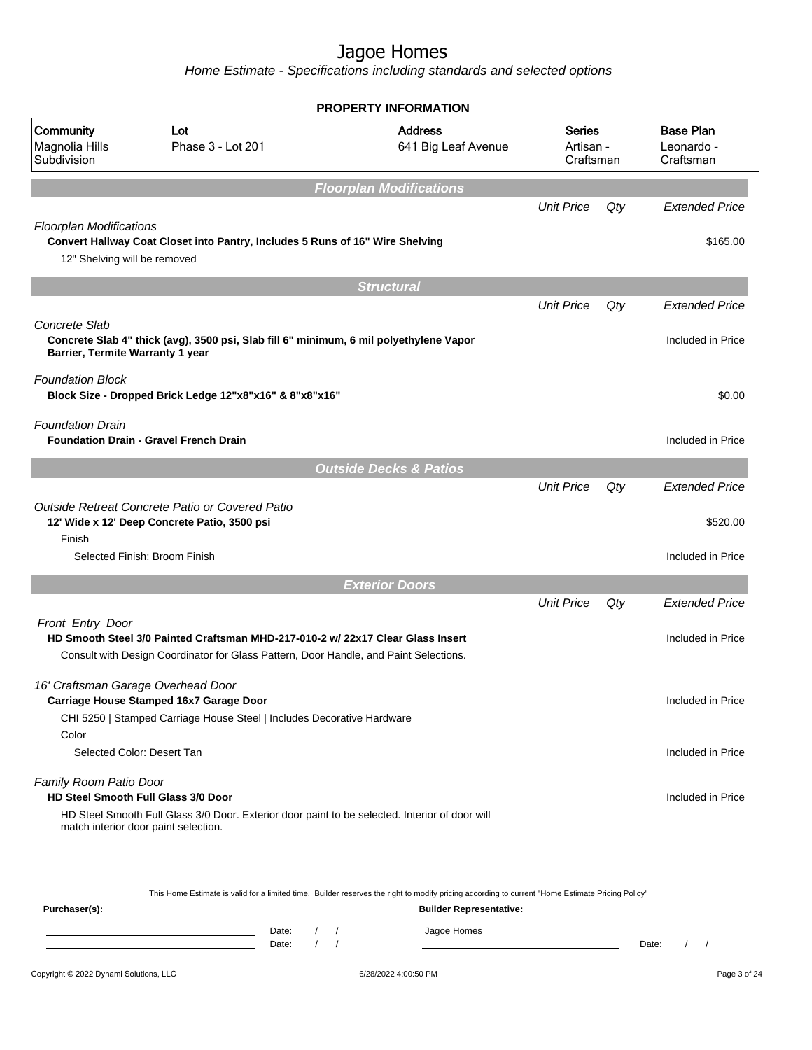Home Estimate - Specifications including standards and selected options

|                                                                      |                                                                                                                                                                          | <b>PROPERTY INFORMATION</b>           |                                         |     |                                                        |
|----------------------------------------------------------------------|--------------------------------------------------------------------------------------------------------------------------------------------------------------------------|---------------------------------------|-----------------------------------------|-----|--------------------------------------------------------|
| Community<br>Magnolia Hills<br>Subdivision                           | Lot<br>Phase 3 - Lot 201                                                                                                                                                 | <b>Address</b><br>641 Big Leaf Avenue | <b>Series</b><br>Artisan -<br>Craftsman |     | <b>Base Plan</b><br>Leonardo -<br>Craftsman            |
|                                                                      |                                                                                                                                                                          | <b>Floorplan Modifications</b>        |                                         |     |                                                        |
|                                                                      |                                                                                                                                                                          |                                       | <b>Unit Price</b>                       | Qty | <b>Extended Price</b>                                  |
| <b>Floorplan Modifications</b><br>12" Shelving will be removed       | Convert Hallway Coat Closet into Pantry, Includes 5 Runs of 16" Wire Shelving                                                                                            |                                       |                                         |     | \$165.00                                               |
|                                                                      |                                                                                                                                                                          | <b>Structural</b>                     |                                         |     |                                                        |
|                                                                      |                                                                                                                                                                          |                                       | <b>Unit Price</b>                       | Qty | <b>Extended Price</b>                                  |
| Concrete Slab<br>Barrier, Termite Warranty 1 year                    | Concrete Slab 4" thick (avg), 3500 psi, Slab fill 6" minimum, 6 mil polyethylene Vapor                                                                                   |                                       |                                         |     | Included in Price                                      |
| <b>Foundation Block</b>                                              | Block Size - Dropped Brick Ledge 12"x8"x16" & 8"x8"x16"                                                                                                                  |                                       |                                         |     | \$0.00                                                 |
| <b>Foundation Drain</b>                                              | <b>Foundation Drain - Gravel French Drain</b>                                                                                                                            |                                       |                                         |     | Included in Price                                      |
|                                                                      |                                                                                                                                                                          | <b>Outside Decks &amp; Patios</b>     |                                         |     |                                                        |
| Finish<br>Selected Finish: Broom Finish                              | Outside Retreat Concrete Patio or Covered Patio<br>12' Wide x 12' Deep Concrete Patio, 3500 psi                                                                          |                                       | <b>Unit Price</b>                       | Qty | <b>Extended Price</b><br>\$520.00<br>Included in Price |
|                                                                      |                                                                                                                                                                          |                                       |                                         |     |                                                        |
|                                                                      |                                                                                                                                                                          | <b>Exterior Doors</b>                 |                                         |     |                                                        |
|                                                                      |                                                                                                                                                                          |                                       | <b>Unit Price</b>                       | Qty | <b>Extended Price</b>                                  |
| Front Entry Door                                                     | HD Smooth Steel 3/0 Painted Craftsman MHD-217-010-2 w/ 22x17 Clear Glass Insert<br>Consult with Design Coordinator for Glass Pattern, Door Handle, and Paint Selections. |                                       |                                         |     | Included in Price                                      |
| 16' Craftsman Garage Overhead Door                                   | Carriage House Stamped 16x7 Garage Door<br>CHI 5250   Stamped Carriage House Steel   Includes Decorative Hardware                                                        |                                       |                                         |     | Included in Price                                      |
| Selected Color: Desert Tan                                           |                                                                                                                                                                          |                                       |                                         |     | Included in Price                                      |
| Family Room Patio Door<br><b>HD Steel Smooth Full Glass 3/0 Door</b> |                                                                                                                                                                          |                                       |                                         |     | Included in Price                                      |
| Color<br>match interior door paint selection.                        | HD Steel Smooth Full Glass 3/0 Door. Exterior door paint to be selected. Interior of door will                                                                           |                                       |                                         |     |                                                        |

This Home Estimate is valid for a limited time. Builder reserves the right to modify pricing according to current "Home Estimate Pricing Policy"

| Purchaser(s): |                |  | <b>Builder Representative:</b> |       |  |
|---------------|----------------|--|--------------------------------|-------|--|
|               | Date:<br>Date: |  | Jagoe Homes                    | Date: |  |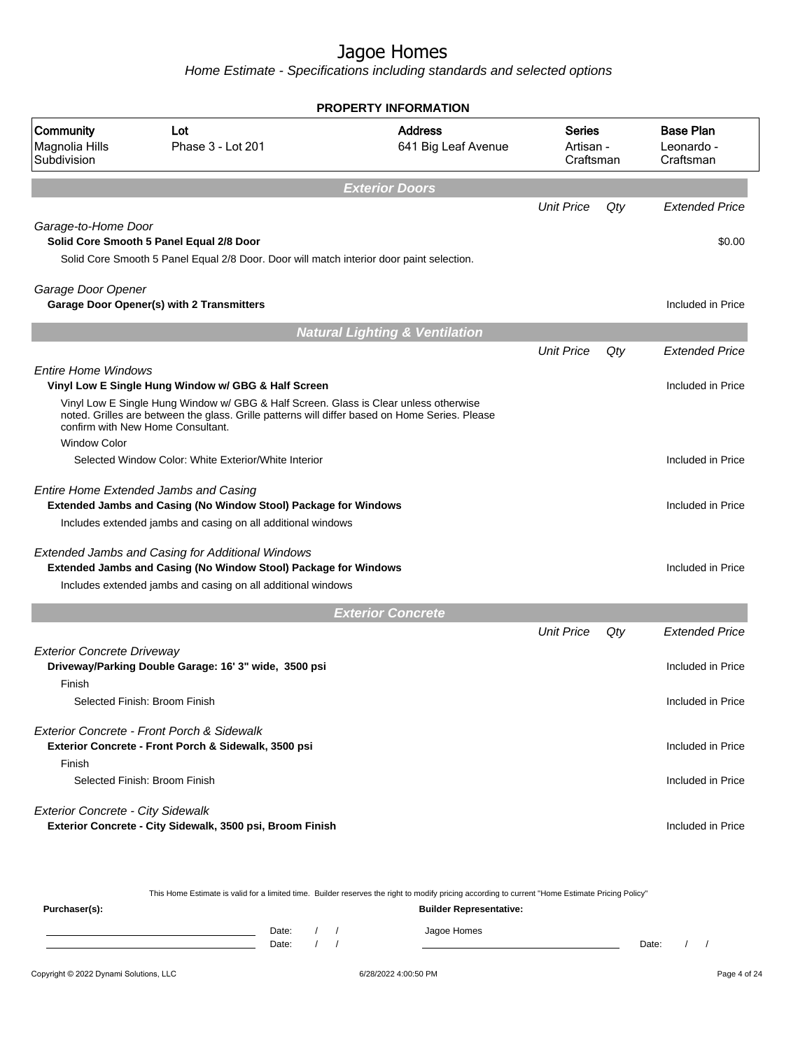Home Estimate - Specifications including standards and selected options

| Lot<br>Phase 3 - Lot 201                                                                                               | <b>Address</b><br>641 Big Leaf Avenue |                                                                                                                                                                                                                                                                                                                                                                                                                                                                                                                                                                                                                                                                  |     | <b>Base Plan</b><br>Leonardo -<br>Craftsman |
|------------------------------------------------------------------------------------------------------------------------|---------------------------------------|------------------------------------------------------------------------------------------------------------------------------------------------------------------------------------------------------------------------------------------------------------------------------------------------------------------------------------------------------------------------------------------------------------------------------------------------------------------------------------------------------------------------------------------------------------------------------------------------------------------------------------------------------------------|-----|---------------------------------------------|
|                                                                                                                        | <b>Exterior Doors</b>                 |                                                                                                                                                                                                                                                                                                                                                                                                                                                                                                                                                                                                                                                                  |     |                                             |
|                                                                                                                        |                                       | <b>Unit Price</b>                                                                                                                                                                                                                                                                                                                                                                                                                                                                                                                                                                                                                                                | Qty | <b>Extended Price</b>                       |
| Garage-to-Home Door<br>Solid Core Smooth 5 Panel Equal 2/8 Door                                                        |                                       |                                                                                                                                                                                                                                                                                                                                                                                                                                                                                                                                                                                                                                                                  |     | \$0.00                                      |
| Garage Door Opener<br>Garage Door Opener(s) with 2 Transmitters                                                        |                                       |                                                                                                                                                                                                                                                                                                                                                                                                                                                                                                                                                                                                                                                                  |     | Included in Price                           |
|                                                                                                                        |                                       |                                                                                                                                                                                                                                                                                                                                                                                                                                                                                                                                                                                                                                                                  |     |                                             |
|                                                                                                                        |                                       | <b>Unit Price</b>                                                                                                                                                                                                                                                                                                                                                                                                                                                                                                                                                                                                                                                | Qty | <b>Extended Price</b>                       |
| <b>Entire Home Windows</b><br>Vinyl Low E Single Hung Window w/ GBG & Half Screen<br>confirm with New Home Consultant. |                                       |                                                                                                                                                                                                                                                                                                                                                                                                                                                                                                                                                                                                                                                                  |     | Included in Price                           |
| Selected Window Color: White Exterior/White Interior                                                                   |                                       |                                                                                                                                                                                                                                                                                                                                                                                                                                                                                                                                                                                                                                                                  |     | Included in Price                           |
| Entire Home Extended Jambs and Casing                                                                                  |                                       |                                                                                                                                                                                                                                                                                                                                                                                                                                                                                                                                                                                                                                                                  |     | Included in Price                           |
| <b>Extended Jambs and Casing for Additional Windows</b>                                                                |                                       |                                                                                                                                                                                                                                                                                                                                                                                                                                                                                                                                                                                                                                                                  |     | Included in Price                           |
|                                                                                                                        |                                       |                                                                                                                                                                                                                                                                                                                                                                                                                                                                                                                                                                                                                                                                  |     |                                             |
|                                                                                                                        |                                       | <b>Unit Price</b>                                                                                                                                                                                                                                                                                                                                                                                                                                                                                                                                                                                                                                                | Qty | <b>Extended Price</b>                       |
| <b>Exterior Concrete Driveway</b><br>Driveway/Parking Double Garage: 16' 3" wide, 3500 psi                             |                                       |                                                                                                                                                                                                                                                                                                                                                                                                                                                                                                                                                                                                                                                                  |     | Included in Price                           |
| Selected Finish: Broom Finish                                                                                          |                                       |                                                                                                                                                                                                                                                                                                                                                                                                                                                                                                                                                                                                                                                                  |     | Included in Price                           |
| Exterior Concrete - Front Porch & Sidewalk<br>Exterior Concrete - Front Porch & Sidewalk, 3500 psi                     |                                       |                                                                                                                                                                                                                                                                                                                                                                                                                                                                                                                                                                                                                                                                  |     | Included in Price                           |
| Selected Finish: Broom Finish                                                                                          |                                       |                                                                                                                                                                                                                                                                                                                                                                                                                                                                                                                                                                                                                                                                  |     | Included in Price                           |
| <b>Exterior Concrete - City Sidewalk</b><br>Exterior Concrete - City Sidewalk, 3500 psi, Broom Finish                  |                                       |                                                                                                                                                                                                                                                                                                                                                                                                                                                                                                                                                                                                                                                                  |     | Included in Price                           |
|                                                                                                                        |                                       | <b>PROPERTY INFORMATION</b><br>Solid Core Smooth 5 Panel Equal 2/8 Door. Door will match interior door paint selection.<br><b>Natural Lighting &amp; Ventilation</b><br>Vinyl Low E Single Hung Window w/ GBG & Half Screen. Glass is Clear unless otherwise<br>noted. Grilles are between the glass. Grille patterns will differ based on Home Series. Please<br>Extended Jambs and Casing (No Window Stool) Package for Windows<br>Includes extended jambs and casing on all additional windows<br>Extended Jambs and Casing (No Window Stool) Package for Windows<br>Includes extended jambs and casing on all additional windows<br><b>Exterior Concrete</b> |     | Series<br>Artisan -<br>Craftsman            |

This Home Estimate is valid for a limited time. Builder reserves the right to modify pricing according to current "Home Estimate Pricing Policy"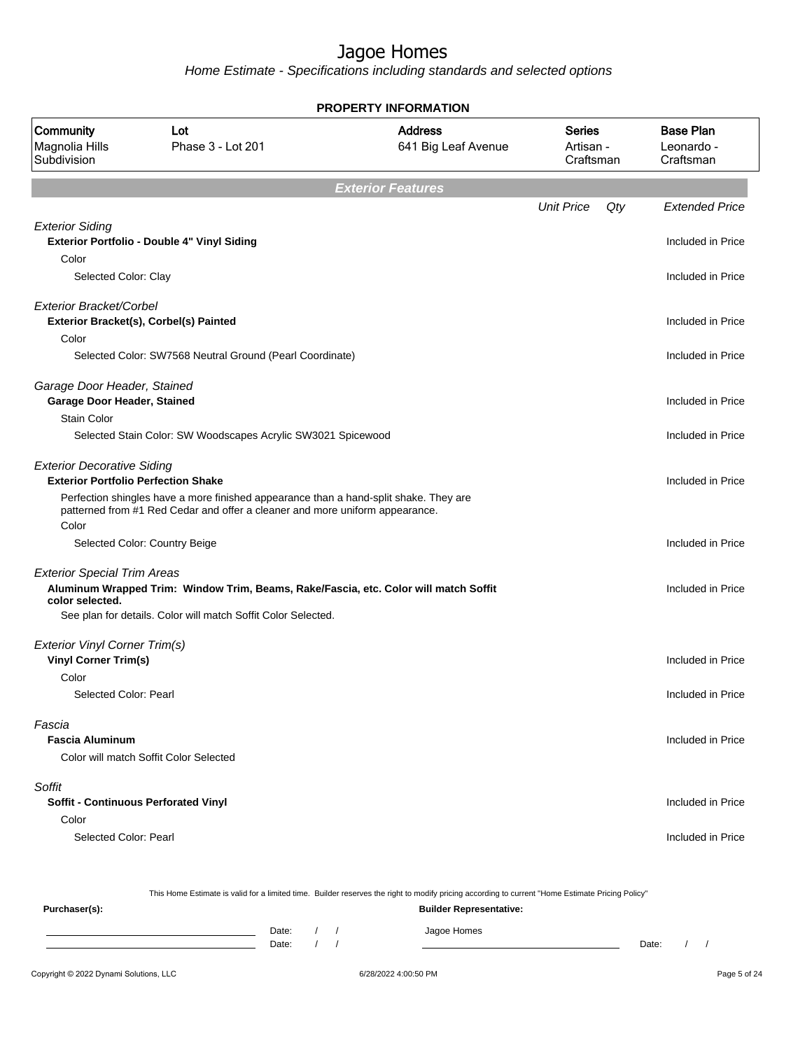Home Estimate - Specifications including standards and selected options

| PROPERTY INFORMATION                                                             |                                                                                                                                                       |                                       |                                  |     |                                             |  |  |
|----------------------------------------------------------------------------------|-------------------------------------------------------------------------------------------------------------------------------------------------------|---------------------------------------|----------------------------------|-----|---------------------------------------------|--|--|
| Community<br>Magnolia Hills<br>Subdivision                                       | Lot<br>Phase 3 - Lot 201                                                                                                                              | <b>Address</b><br>641 Big Leaf Avenue | Series<br>Artisan -<br>Craftsman |     | <b>Base Plan</b><br>Leonardo -<br>Craftsman |  |  |
|                                                                                  |                                                                                                                                                       | <b>Exterior Features</b>              |                                  |     |                                             |  |  |
|                                                                                  |                                                                                                                                                       |                                       | <b>Unit Price</b>                | Qty | <b>Extended Price</b>                       |  |  |
| <b>Exterior Siding</b><br>Color                                                  | Exterior Portfolio - Double 4" Vinyl Siding                                                                                                           |                                       |                                  |     | Included in Price                           |  |  |
| Selected Color: Clay                                                             |                                                                                                                                                       |                                       |                                  |     | Included in Price                           |  |  |
| Exterior Bracket/Corbel                                                          | Exterior Bracket(s), Corbel(s) Painted                                                                                                                |                                       |                                  |     | Included in Price                           |  |  |
| Color                                                                            | Selected Color: SW7568 Neutral Ground (Pearl Coordinate)                                                                                              |                                       |                                  |     | Included in Price                           |  |  |
| Garage Door Header, Stained<br>Garage Door Header, Stained<br><b>Stain Color</b> |                                                                                                                                                       |                                       |                                  |     | Included in Price                           |  |  |
|                                                                                  | Selected Stain Color: SW Woodscapes Acrylic SW3021 Spicewood                                                                                          |                                       |                                  |     | Included in Price                           |  |  |
| <b>Exterior Decorative Siding</b><br><b>Exterior Portfolio Perfection Shake</b>  | Perfection shingles have a more finished appearance than a hand-split shake. They are                                                                 |                                       |                                  |     | Included in Price                           |  |  |
| Color                                                                            | patterned from #1 Red Cedar and offer a cleaner and more uniform appearance.                                                                          |                                       |                                  |     |                                             |  |  |
|                                                                                  | Selected Color: Country Beige                                                                                                                         |                                       |                                  |     | Included in Price                           |  |  |
| <b>Exterior Special Trim Areas</b><br>color selected.                            | Aluminum Wrapped Trim: Window Trim, Beams, Rake/Fascia, etc. Color will match Soffit<br>See plan for details. Color will match Soffit Color Selected. |                                       |                                  |     | Included in Price                           |  |  |
|                                                                                  |                                                                                                                                                       |                                       |                                  |     |                                             |  |  |
| <b>Exterior Vinyl Corner Trim(s)</b><br><b>Vinyl Corner Trim(s)</b>              |                                                                                                                                                       |                                       |                                  |     | Included in Price                           |  |  |
| Color<br>Selected Color: Pearl                                                   |                                                                                                                                                       |                                       |                                  |     | Included in Price                           |  |  |
| Fascia<br><b>Fascia Aluminum</b>                                                 | Color will match Soffit Color Selected                                                                                                                |                                       |                                  |     | Included in Price                           |  |  |
| Soffit                                                                           |                                                                                                                                                       |                                       |                                  |     |                                             |  |  |
| Soffit - Continuous Perforated Vinyl                                             |                                                                                                                                                       |                                       |                                  |     | Included in Price                           |  |  |
| Color                                                                            |                                                                                                                                                       |                                       |                                  |     |                                             |  |  |
| Selected Color: Pearl                                                            |                                                                                                                                                       |                                       |                                  |     | Included in Price                           |  |  |
|                                                                                  |                                                                                                                                                       |                                       |                                  |     |                                             |  |  |

This Home Estimate is valid for a limited time. Builder reserves the right to modify pricing according to current "Home Estimate Pricing Policy"

**Purchaser(s): Builder Representative:** Date: / / Jagoe Homes<br>Date: / / Jagoe Homes Date: / / **Date: / / 2006** Date: / / / Date: / / / Date: / / / 2006 Date: / / / 2006 Date: / / / 2006 Date: / / / 2006 Date: / / / 2007 Date: / / / 2007 Date: / / / 2007 Date: / / / 2007 Date: / / / 2007 Date: / / / 2007 D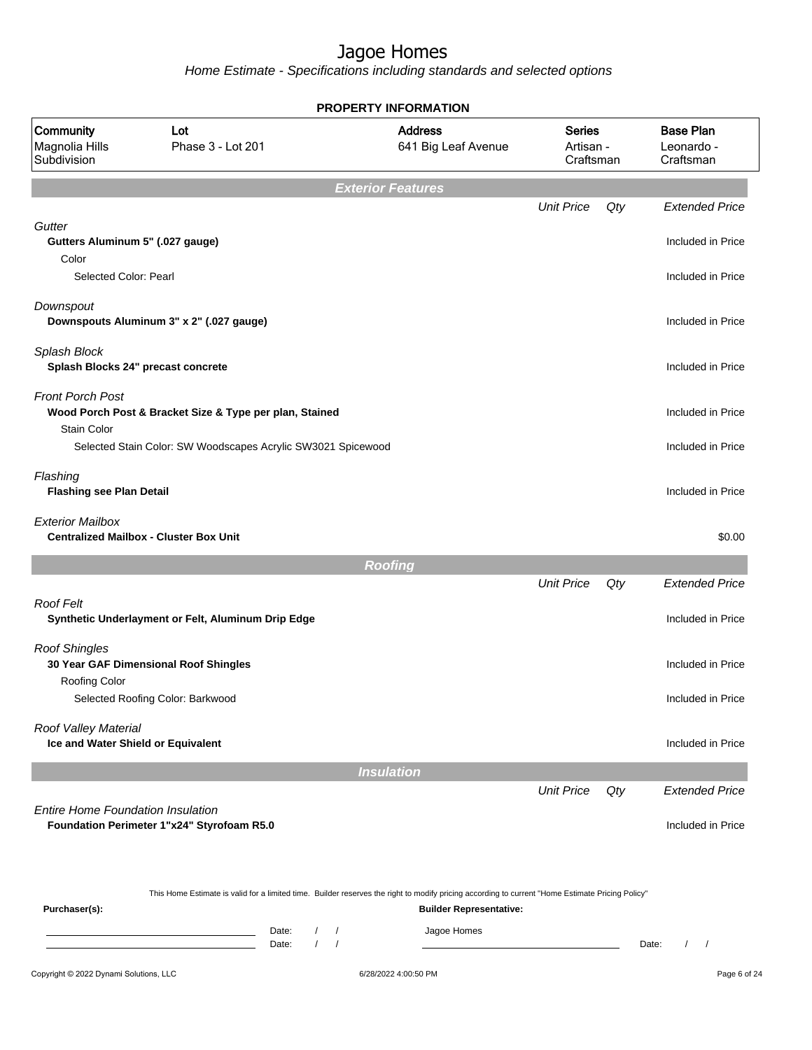Home Estimate - Specifications including standards and selected options

|                                                            |                                                              | <b>PROPERTY INFORMATION</b>                                                                                                                      |                                         |     |                                             |
|------------------------------------------------------------|--------------------------------------------------------------|--------------------------------------------------------------------------------------------------------------------------------------------------|-----------------------------------------|-----|---------------------------------------------|
| Community<br>Magnolia Hills<br>Subdivision                 | Lot<br>Phase 3 - Lot 201                                     | <b>Address</b><br>641 Big Leaf Avenue                                                                                                            | <b>Series</b><br>Artisan -<br>Craftsman |     | <b>Base Plan</b><br>Leonardo -<br>Craftsman |
|                                                            |                                                              | <b>Exterior Features</b>                                                                                                                         |                                         |     |                                             |
|                                                            |                                                              |                                                                                                                                                  | <b>Unit Price</b>                       | Qty | <b>Extended Price</b>                       |
| Gutter<br>Gutters Aluminum 5" (.027 gauge)<br>Color        |                                                              |                                                                                                                                                  |                                         |     | Included in Price                           |
| Selected Color: Pearl                                      |                                                              |                                                                                                                                                  |                                         |     | Included in Price                           |
| Downspout                                                  | Downspouts Aluminum 3" x 2" (.027 gauge)                     |                                                                                                                                                  |                                         |     | Included in Price                           |
| Splash Block<br>Splash Blocks 24" precast concrete         |                                                              |                                                                                                                                                  |                                         |     | Included in Price                           |
| <b>Front Porch Post</b><br>Stain Color                     | Wood Porch Post & Bracket Size & Type per plan, Stained      |                                                                                                                                                  |                                         |     | Included in Price                           |
|                                                            | Selected Stain Color: SW Woodscapes Acrylic SW3021 Spicewood |                                                                                                                                                  |                                         |     | Included in Price                           |
| Flashing<br><b>Flashing see Plan Detail</b>                |                                                              |                                                                                                                                                  |                                         |     | Included in Price                           |
| <b>Exterior Mailbox</b>                                    | <b>Centralized Mailbox - Cluster Box Unit</b>                |                                                                                                                                                  |                                         |     | \$0.00                                      |
|                                                            |                                                              | <b>Roofing</b>                                                                                                                                   |                                         |     |                                             |
|                                                            |                                                              |                                                                                                                                                  | <b>Unit Price</b>                       | Qty | <b>Extended Price</b>                       |
| <b>Roof Felt</b>                                           | Synthetic Underlayment or Felt, Aluminum Drip Edge           |                                                                                                                                                  |                                         |     | Included in Price                           |
| <b>Roof Shingles</b><br>Roofing Color                      | 30 Year GAF Dimensional Roof Shingles                        |                                                                                                                                                  |                                         |     | Included in Price                           |
|                                                            | Selected Roofing Color: Barkwood                             |                                                                                                                                                  |                                         |     | Included in Price                           |
| Roof Valley Material<br>Ice and Water Shield or Equivalent |                                                              |                                                                                                                                                  |                                         |     | Included in Price                           |
|                                                            |                                                              | <b>Insulation</b>                                                                                                                                |                                         |     |                                             |
|                                                            |                                                              |                                                                                                                                                  | <b>Unit Price</b>                       | Qty | <b>Extended Price</b>                       |
| <b>Entire Home Foundation Insulation</b>                   | Foundation Perimeter 1"x24" Styrofoam R5.0                   |                                                                                                                                                  |                                         |     | Included in Price                           |
|                                                            |                                                              | This Home Estimate is valid for a limited time. Builder reserves the right to modify pricing according to current "Home Estimate Pricing Policy" |                                         |     |                                             |
| Purchaser(s):                                              |                                                              | <b>Builder Representative:</b>                                                                                                                   |                                         |     |                                             |

Date: / / Jagoe Homes<br>Date: / / Jagoe Homes Date: / / Date: / /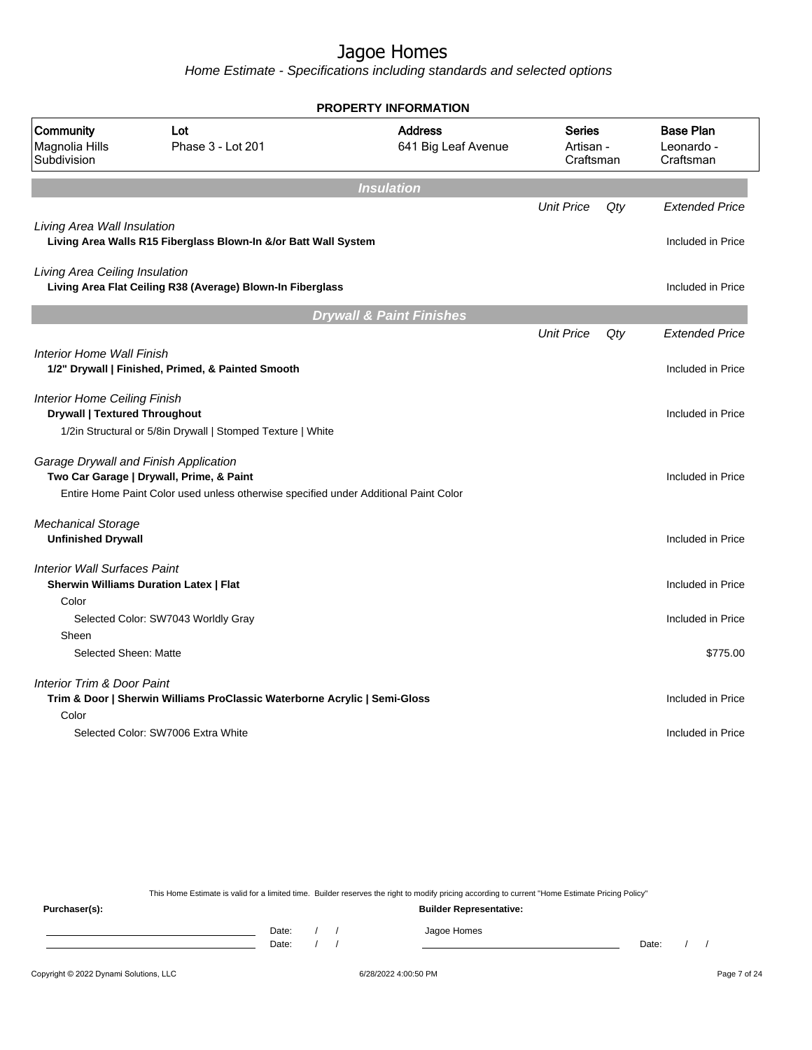Home Estimate - Specifications including standards and selected options

|                                                                             |                                                                                                                                  | PROPERTY INFORMATION                  |                                         |     |                                             |
|-----------------------------------------------------------------------------|----------------------------------------------------------------------------------------------------------------------------------|---------------------------------------|-----------------------------------------|-----|---------------------------------------------|
| Community<br>Magnolia Hills<br>Subdivision                                  | Lot<br>Phase 3 - Lot 201                                                                                                         | <b>Address</b><br>641 Big Leaf Avenue | <b>Series</b><br>Artisan -<br>Craftsman |     | <b>Base Plan</b><br>Leonardo -<br>Craftsman |
|                                                                             |                                                                                                                                  | <b>Insulation</b>                     |                                         |     |                                             |
|                                                                             |                                                                                                                                  |                                       | <b>Unit Price</b>                       | Qtv | <b>Extended Price</b>                       |
| Living Area Wall Insulation                                                 | Living Area Walls R15 Fiberglass Blown-In &/or Batt Wall System                                                                  |                                       |                                         |     | Included in Price                           |
| Living Area Ceiling Insulation                                              | Living Area Flat Ceiling R38 (Average) Blown-In Fiberglass                                                                       |                                       |                                         |     | Included in Price                           |
|                                                                             |                                                                                                                                  | <b>Drywall &amp; Paint Finishes</b>   |                                         |     |                                             |
|                                                                             |                                                                                                                                  |                                       | <b>Unit Price</b>                       | Qty | <b>Extended Price</b>                       |
| <b>Interior Home Wall Finish</b>                                            | 1/2" Drywall   Finished, Primed, & Painted Smooth                                                                                |                                       |                                         |     | Included in Price                           |
| <b>Interior Home Ceiling Finish</b><br><b>Drywall   Textured Throughout</b> |                                                                                                                                  |                                       |                                         |     | Included in Price                           |
|                                                                             | 1/2in Structural or 5/8in Drywall   Stomped Texture   White                                                                      |                                       |                                         |     |                                             |
| Garage Drywall and Finish Application                                       | Two Car Garage   Drywall, Prime, & Paint<br>Entire Home Paint Color used unless otherwise specified under Additional Paint Color |                                       |                                         |     | Included in Price                           |
| <b>Mechanical Storage</b><br><b>Unfinished Drywall</b>                      |                                                                                                                                  |                                       |                                         |     | Included in Price                           |
|                                                                             |                                                                                                                                  |                                       |                                         |     |                                             |
| <b>Interior Wall Surfaces Paint</b><br>Color                                | <b>Sherwin Williams Duration Latex   Flat</b>                                                                                    |                                       |                                         |     | Included in Price                           |
|                                                                             | Selected Color: SW7043 Worldly Gray                                                                                              |                                       |                                         |     | Included in Price                           |
| Sheen                                                                       |                                                                                                                                  |                                       |                                         |     |                                             |
| Selected Sheen: Matte                                                       |                                                                                                                                  |                                       |                                         |     | \$775.00                                    |
| <b>Interior Trim &amp; Door Paint</b>                                       | Trim & Door   Sherwin Williams ProClassic Waterborne Acrylic   Semi-Gloss                                                        |                                       |                                         |     | Included in Price                           |
| Color                                                                       |                                                                                                                                  |                                       |                                         |     |                                             |
|                                                                             | Selected Color: SW7006 Extra White                                                                                               |                                       |                                         |     | Included in Price                           |
|                                                                             |                                                                                                                                  |                                       |                                         |     |                                             |

This Home Estimate is valid for a limited time. Builder reserves the right to modify pricing according to current "Home Estimate Pricing Policy"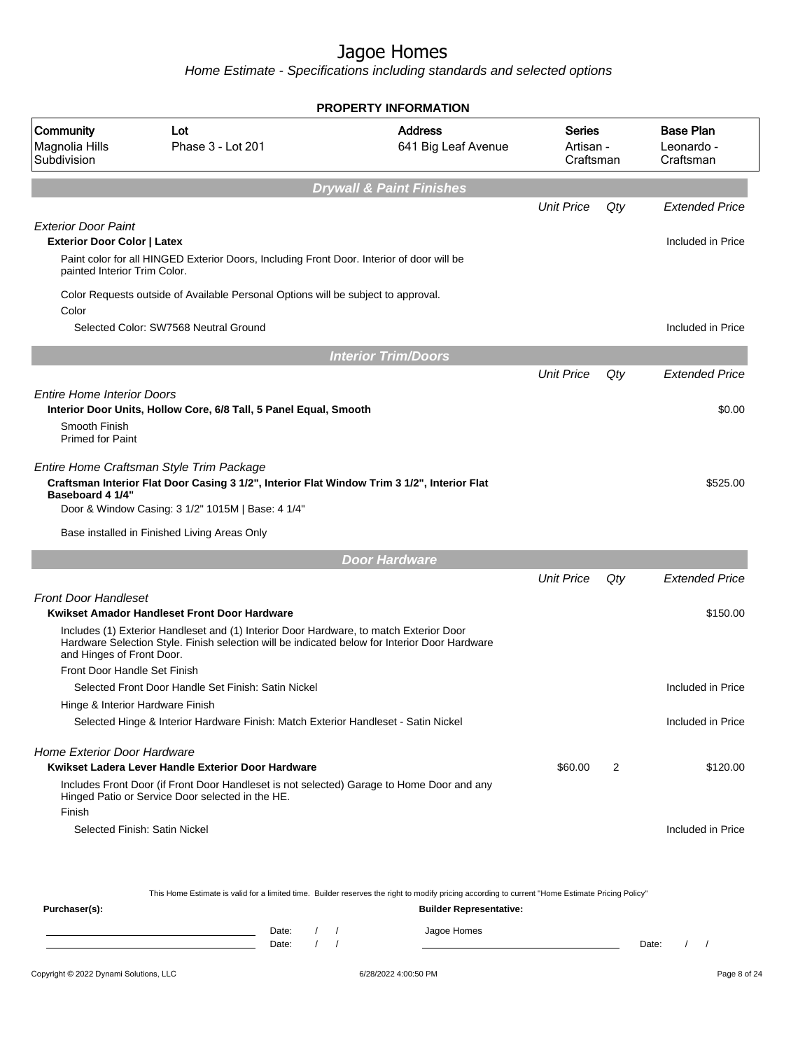Home Estimate - Specifications including standards and selected options

|                                                                                                  |                                                                                                                                                                                                                                              | <b>PROPERTY INFORMATION</b>                                                                                                                      |                                  |     |                                             |  |  |  |  |
|--------------------------------------------------------------------------------------------------|----------------------------------------------------------------------------------------------------------------------------------------------------------------------------------------------------------------------------------------------|--------------------------------------------------------------------------------------------------------------------------------------------------|----------------------------------|-----|---------------------------------------------|--|--|--|--|
| Community<br>Magnolia Hills<br>Subdivision                                                       | Lot<br>Phase 3 - Lot 201                                                                                                                                                                                                                     | <b>Address</b><br>641 Big Leaf Avenue                                                                                                            | Series<br>Artisan -<br>Craftsman |     | <b>Base Plan</b><br>Leonardo -<br>Craftsman |  |  |  |  |
|                                                                                                  | <b>Drywall &amp; Paint Finishes</b>                                                                                                                                                                                                          |                                                                                                                                                  |                                  |     |                                             |  |  |  |  |
|                                                                                                  |                                                                                                                                                                                                                                              |                                                                                                                                                  | <b>Unit Price</b>                | Qty | <b>Extended Price</b>                       |  |  |  |  |
| <b>Exterior Door Paint</b><br><b>Exterior Door Color   Latex</b><br>painted Interior Trim Color. | Paint color for all HINGED Exterior Doors, Including Front Door, Interior of door will be                                                                                                                                                    |                                                                                                                                                  |                                  |     | Included in Price                           |  |  |  |  |
| Color                                                                                            | Color Requests outside of Available Personal Options will be subject to approval.<br>Selected Color: SW7568 Neutral Ground                                                                                                                   |                                                                                                                                                  |                                  |     | Included in Price                           |  |  |  |  |
|                                                                                                  |                                                                                                                                                                                                                                              |                                                                                                                                                  |                                  |     |                                             |  |  |  |  |
|                                                                                                  |                                                                                                                                                                                                                                              | <b>Interior Trim/Doors</b>                                                                                                                       | <b>Unit Price</b>                | Qty | Extended Price                              |  |  |  |  |
| <b>Entire Home Interior Doors</b><br>Smooth Finish<br><b>Primed for Paint</b>                    | Interior Door Units, Hollow Core, 6/8 Tall, 5 Panel Equal, Smooth                                                                                                                                                                            |                                                                                                                                                  |                                  |     | \$0.00                                      |  |  |  |  |
| Baseboard 4 1/4"                                                                                 | Entire Home Craftsman Style Trim Package<br>Craftsman Interior Flat Door Casing 3 1/2", Interior Flat Window Trim 3 1/2", Interior Flat<br>Door & Window Casing: 3 1/2" 1015M   Base: 4 1/4"<br>Base installed in Finished Living Areas Only |                                                                                                                                                  |                                  |     | \$525.00                                    |  |  |  |  |
|                                                                                                  |                                                                                                                                                                                                                                              |                                                                                                                                                  |                                  |     |                                             |  |  |  |  |
|                                                                                                  |                                                                                                                                                                                                                                              | <b>Door Hardware</b>                                                                                                                             | <b>Unit Price</b>                | Qty | <b>Extended Price</b>                       |  |  |  |  |
| <b>Front Door Handleset</b><br>and Hinges of Front Door.                                         | Kwikset Amador Handleset Front Door Hardware<br>Includes (1) Exterior Handleset and (1) Interior Door Hardware, to match Exterior Door<br>Hardware Selection Style. Finish selection will be indicated below for Interior Door Hardware      |                                                                                                                                                  |                                  |     | \$150.00                                    |  |  |  |  |
| Front Door Handle Set Finish                                                                     | Selected Front Door Handle Set Finish: Satin Nickel                                                                                                                                                                                          |                                                                                                                                                  |                                  |     | Included in Price                           |  |  |  |  |
| Hinge & Interior Hardware Finish                                                                 |                                                                                                                                                                                                                                              |                                                                                                                                                  |                                  |     |                                             |  |  |  |  |
|                                                                                                  | Selected Hinge & Interior Hardware Finish: Match Exterior Handleset - Satin Nickel                                                                                                                                                           |                                                                                                                                                  |                                  |     | Included in Price                           |  |  |  |  |
| Home Exterior Door Hardware<br>Finish                                                            | Kwikset Ladera Lever Handle Exterior Door Hardware<br>Includes Front Door (if Front Door Handleset is not selected) Garage to Home Door and any<br>Hinged Patio or Service Door selected in the HE.                                          |                                                                                                                                                  | \$60.00                          | 2   | \$120.00                                    |  |  |  |  |
|                                                                                                  | Selected Finish: Satin Nickel                                                                                                                                                                                                                |                                                                                                                                                  |                                  |     | Included in Price                           |  |  |  |  |
|                                                                                                  |                                                                                                                                                                                                                                              | This Home Estimate is valid for a limited time. Builder reserves the right to modify pricing according to current "Home Estimate Pricing Policy" |                                  |     |                                             |  |  |  |  |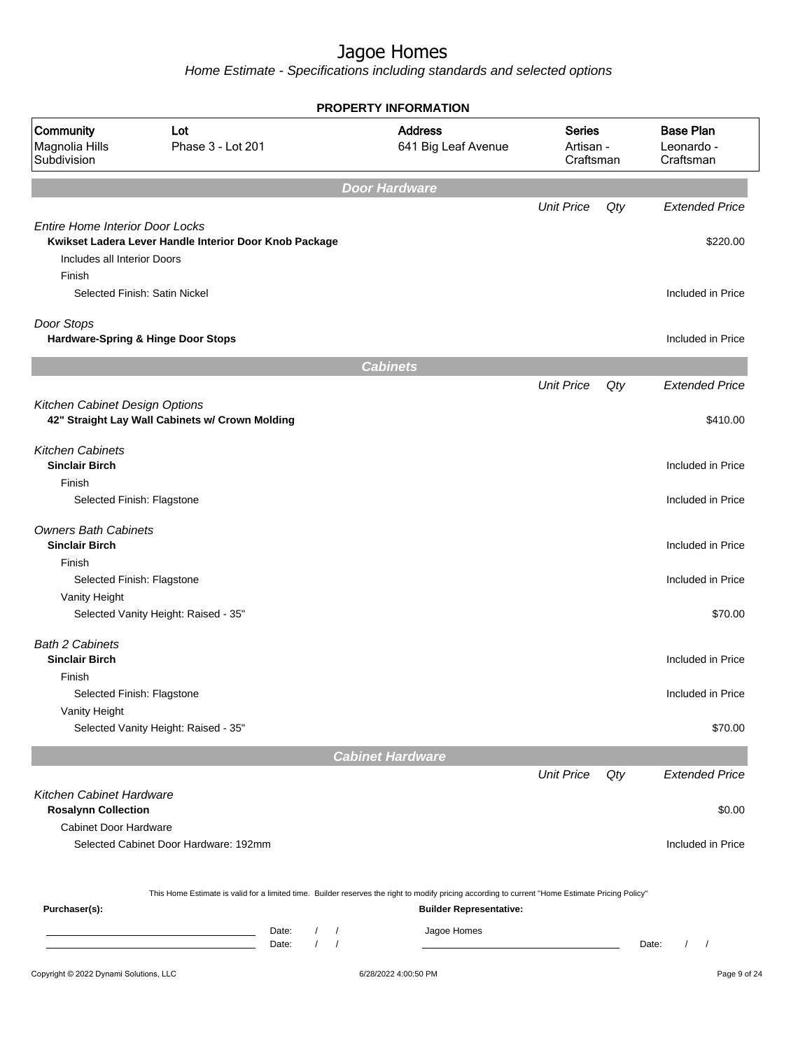|                                                                                 |                                                                                                                                                                                                                        |                                                | <b>PROPERTY INFORMATION</b>                   |                                         |     |                                             |
|---------------------------------------------------------------------------------|------------------------------------------------------------------------------------------------------------------------------------------------------------------------------------------------------------------------|------------------------------------------------|-----------------------------------------------|-----------------------------------------|-----|---------------------------------------------|
| Community<br>Magnolia Hills<br>Subdivision                                      | Lot<br>Phase 3 - Lot 201                                                                                                                                                                                               |                                                | <b>Address</b><br>641 Big Leaf Avenue         | <b>Series</b><br>Artisan -<br>Craftsman |     | <b>Base Plan</b><br>Leonardo -<br>Craftsman |
|                                                                                 |                                                                                                                                                                                                                        |                                                | <b>Door Hardware</b>                          |                                         |     |                                             |
|                                                                                 |                                                                                                                                                                                                                        |                                                |                                               | <b>Unit Price</b>                       | Qty | <b>Extended Price</b>                       |
| <b>Entire Home Interior Door Locks</b><br>Includes all Interior Doors<br>Finish | Kwikset Ladera Lever Handle Interior Door Knob Package                                                                                                                                                                 |                                                |                                               |                                         |     | \$220.00                                    |
| Selected Finish: Satin Nickel                                                   |                                                                                                                                                                                                                        |                                                |                                               |                                         |     | Included in Price                           |
| Door Stops<br>Hardware-Spring & Hinge Door Stops                                |                                                                                                                                                                                                                        |                                                |                                               |                                         |     | Included in Price                           |
|                                                                                 |                                                                                                                                                                                                                        |                                                | <b>Cabinets</b>                               |                                         |     |                                             |
|                                                                                 |                                                                                                                                                                                                                        |                                                |                                               | <b>Unit Price</b>                       | Qty | <b>Extended Price</b>                       |
| Kitchen Cabinet Design Options                                                  | 42" Straight Lay Wall Cabinets w/ Crown Molding                                                                                                                                                                        |                                                |                                               |                                         |     | \$410.00                                    |
| <b>Kitchen Cabinets</b><br><b>Sinclair Birch</b><br>Finish                      |                                                                                                                                                                                                                        |                                                |                                               |                                         |     | Included in Price                           |
| Selected Finish: Flagstone                                                      |                                                                                                                                                                                                                        |                                                |                                               |                                         |     | Included in Price                           |
| <b>Owners Bath Cabinets</b><br><b>Sinclair Birch</b>                            |                                                                                                                                                                                                                        |                                                |                                               |                                         |     | Included in Price                           |
| Finish<br>Selected Finish: Flagstone                                            |                                                                                                                                                                                                                        |                                                |                                               |                                         |     | Included in Price                           |
| Vanity Height                                                                   | Selected Vanity Height: Raised - 35"                                                                                                                                                                                   |                                                |                                               |                                         |     | \$70.00                                     |
| <b>Bath 2 Cabinets</b><br><b>Sinclair Birch</b>                                 |                                                                                                                                                                                                                        |                                                |                                               |                                         |     | Included in Price                           |
| Finish<br>Selected Finish: Flagstone                                            |                                                                                                                                                                                                                        |                                                |                                               |                                         |     | Included in Price                           |
| Vanity Height                                                                   | Selected Vanity Height: Raised - 35"                                                                                                                                                                                   |                                                |                                               |                                         |     | \$70.00                                     |
|                                                                                 |                                                                                                                                                                                                                        |                                                | <b>Cabinet Hardware</b>                       |                                         |     |                                             |
|                                                                                 |                                                                                                                                                                                                                        |                                                |                                               | <b>Unit Price</b>                       | Qty | <b>Extended Price</b>                       |
| <b>Kitchen Cabinet Hardware</b><br><b>Rosalynn Collection</b>                   |                                                                                                                                                                                                                        |                                                |                                               |                                         |     | \$0.00                                      |
| <b>Cabinet Door Hardware</b>                                                    | Selected Cabinet Door Hardware: 192mm                                                                                                                                                                                  |                                                |                                               |                                         |     | Included in Price                           |
| Purchaser(s):                                                                   | This Home Estimate is valid for a limited time. Builder reserves the right to modify pricing according to current "Home Estimate Pricing Policy"<br>Date:<br>the control of the control of the control of the<br>Date: | $\sqrt{2}$<br>$\prime$<br>$\prime$<br>$\prime$ | <b>Builder Representative:</b><br>Jagoe Homes |                                         |     | Date:<br>$\prime$<br>$\sqrt{2}$             |
|                                                                                 |                                                                                                                                                                                                                        |                                                |                                               |                                         |     |                                             |
| Copyright © 2022 Dynami Solutions, LLC                                          |                                                                                                                                                                                                                        |                                                | 6/28/2022 4:00:50 PM                          |                                         |     | Page 9 of 24                                |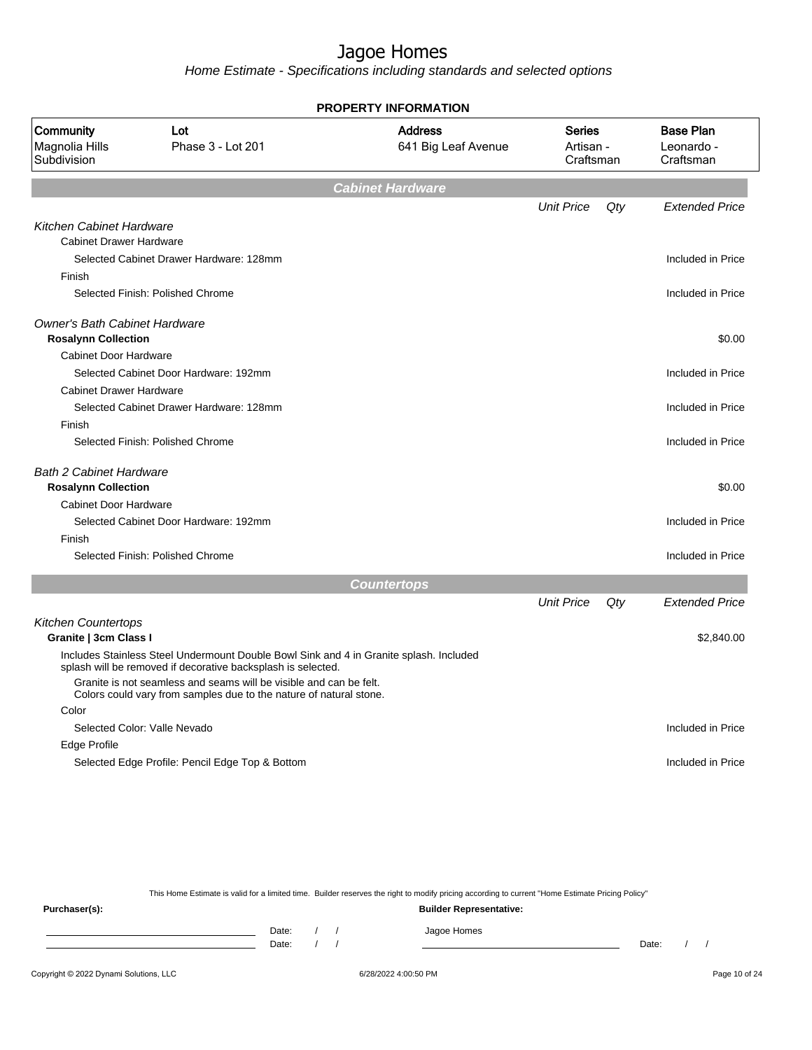Home Estimate - Specifications including standards and selected options

|                                                                    |                                                                                                                                                        | <b>PROPERTY INFORMATION</b>           |                                         |     |                                             |
|--------------------------------------------------------------------|--------------------------------------------------------------------------------------------------------------------------------------------------------|---------------------------------------|-----------------------------------------|-----|---------------------------------------------|
| Community<br>Magnolia Hills<br>Subdivision                         | Lot<br>Phase 3 - Lot 201                                                                                                                               | <b>Address</b><br>641 Big Leaf Avenue | <b>Series</b><br>Artisan -<br>Craftsman |     | <b>Base Plan</b><br>Leonardo -<br>Craftsman |
|                                                                    |                                                                                                                                                        | <b>Cabinet Hardware</b>               |                                         |     |                                             |
|                                                                    |                                                                                                                                                        |                                       | <b>Unit Price</b>                       | Qty | <b>Extended Price</b>                       |
| Kitchen Cabinet Hardware                                           |                                                                                                                                                        |                                       |                                         |     |                                             |
| <b>Cabinet Drawer Hardware</b>                                     |                                                                                                                                                        |                                       |                                         |     |                                             |
|                                                                    | Selected Cabinet Drawer Hardware: 128mm                                                                                                                |                                       |                                         |     | Included in Price                           |
| Finish                                                             |                                                                                                                                                        |                                       |                                         |     |                                             |
|                                                                    | Selected Finish: Polished Chrome                                                                                                                       |                                       |                                         |     | Included in Price                           |
| <b>Owner's Bath Cabinet Hardware</b><br><b>Rosalynn Collection</b> |                                                                                                                                                        |                                       |                                         |     | \$0.00                                      |
| Cabinet Door Hardware                                              |                                                                                                                                                        |                                       |                                         |     |                                             |
|                                                                    | Selected Cabinet Door Hardware: 192mm                                                                                                                  |                                       |                                         |     | Included in Price                           |
| <b>Cabinet Drawer Hardware</b>                                     |                                                                                                                                                        |                                       |                                         |     |                                             |
|                                                                    | Selected Cabinet Drawer Hardware: 128mm                                                                                                                |                                       |                                         |     | Included in Price                           |
| Finish                                                             |                                                                                                                                                        |                                       |                                         |     |                                             |
|                                                                    | Selected Finish: Polished Chrome                                                                                                                       |                                       |                                         |     | Included in Price                           |
| <b>Bath 2 Cabinet Hardware</b>                                     |                                                                                                                                                        |                                       |                                         |     |                                             |
| <b>Rosalynn Collection</b>                                         |                                                                                                                                                        |                                       |                                         |     | \$0.00                                      |
| Cabinet Door Hardware                                              |                                                                                                                                                        |                                       |                                         |     |                                             |
|                                                                    | Selected Cabinet Door Hardware: 192mm                                                                                                                  |                                       |                                         |     | Included in Price                           |
| Finish                                                             |                                                                                                                                                        |                                       |                                         |     |                                             |
|                                                                    | Selected Finish: Polished Chrome                                                                                                                       |                                       |                                         |     | Included in Price                           |
|                                                                    |                                                                                                                                                        | <b>Countertops</b>                    |                                         |     |                                             |
|                                                                    |                                                                                                                                                        |                                       | <b>Unit Price</b>                       | Qty | <b>Extended Price</b>                       |
| Kitchen Countertops                                                |                                                                                                                                                        |                                       |                                         |     |                                             |
| Granite   3cm Class I                                              |                                                                                                                                                        |                                       |                                         |     | \$2,840.00                                  |
|                                                                    | Includes Stainless Steel Undermount Double Bowl Sink and 4 in Granite splash. Included<br>splash will be removed if decorative backsplash is selected. |                                       |                                         |     |                                             |
|                                                                    | Granite is not seamless and seams will be visible and can be felt.<br>Colors could vary from samples due to the nature of natural stone.               |                                       |                                         |     |                                             |
| Color                                                              |                                                                                                                                                        |                                       |                                         |     |                                             |
|                                                                    | Selected Color: Valle Nevado                                                                                                                           |                                       |                                         |     | Included in Price                           |
| Edge Profile                                                       |                                                                                                                                                        |                                       |                                         |     |                                             |
|                                                                    | Selected Edge Profile: Pencil Edge Top & Bottom                                                                                                        |                                       |                                         |     | Included in Price                           |

This Home Estimate is valid for a limited time. Builder reserves the right to modify pricing according to current "Home Estimate Pricing Policy"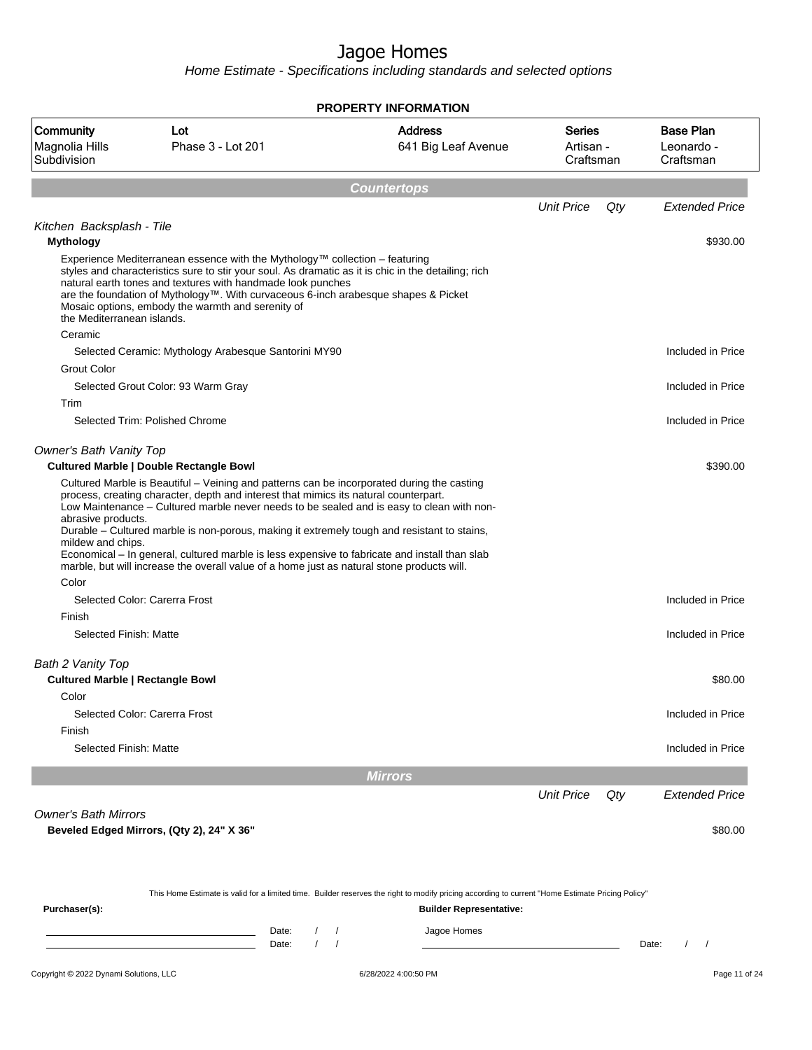|                                                              |                                                                                                                                                                                                                                                                                                                                                                                                                                                                                                                                                                               | <b>PROPERTY INFORMATION</b>                                                                                                                                                        |                                         |                                             |
|--------------------------------------------------------------|-------------------------------------------------------------------------------------------------------------------------------------------------------------------------------------------------------------------------------------------------------------------------------------------------------------------------------------------------------------------------------------------------------------------------------------------------------------------------------------------------------------------------------------------------------------------------------|------------------------------------------------------------------------------------------------------------------------------------------------------------------------------------|-----------------------------------------|---------------------------------------------|
| Community<br>Magnolia Hills<br>Subdivision                   | Lot<br>Phase 3 - Lot 201                                                                                                                                                                                                                                                                                                                                                                                                                                                                                                                                                      | <b>Address</b><br>641 Big Leaf Avenue                                                                                                                                              | <b>Series</b><br>Artisan -<br>Craftsman | <b>Base Plan</b><br>Leonardo -<br>Craftsman |
|                                                              |                                                                                                                                                                                                                                                                                                                                                                                                                                                                                                                                                                               | <b>Countertops</b>                                                                                                                                                                 |                                         |                                             |
|                                                              |                                                                                                                                                                                                                                                                                                                                                                                                                                                                                                                                                                               |                                                                                                                                                                                    | <b>Unit Price</b>                       | Qty<br><b>Extended Price</b>                |
| Kitchen Backsplash - Tile<br><b>Mythology</b>                |                                                                                                                                                                                                                                                                                                                                                                                                                                                                                                                                                                               |                                                                                                                                                                                    |                                         | \$930.00                                    |
| the Mediterranean islands.                                   | Experience Mediterranean essence with the Mythology™ collection - featuring<br>styles and characteristics sure to stir your soul. As dramatic as it is chic in the detailing; rich<br>natural earth tones and textures with handmade look punches<br>are the foundation of Mythology™. With curvaceous 6-inch arabesque shapes & Picket<br>Mosaic options, embody the warmth and serenity of                                                                                                                                                                                  |                                                                                                                                                                                    |                                         |                                             |
| Ceramic                                                      | Selected Ceramic: Mythology Arabesque Santorini MY90                                                                                                                                                                                                                                                                                                                                                                                                                                                                                                                          |                                                                                                                                                                                    |                                         | Included in Price                           |
| <b>Grout Color</b>                                           |                                                                                                                                                                                                                                                                                                                                                                                                                                                                                                                                                                               |                                                                                                                                                                                    |                                         |                                             |
|                                                              | Selected Grout Color: 93 Warm Gray                                                                                                                                                                                                                                                                                                                                                                                                                                                                                                                                            |                                                                                                                                                                                    |                                         | Included in Price                           |
| Trim                                                         | Selected Trim: Polished Chrome                                                                                                                                                                                                                                                                                                                                                                                                                                                                                                                                                |                                                                                                                                                                                    |                                         | Included in Price                           |
|                                                              |                                                                                                                                                                                                                                                                                                                                                                                                                                                                                                                                                                               |                                                                                                                                                                                    |                                         |                                             |
| <b>Owner's Bath Vanity Top</b>                               | <b>Cultured Marble   Double Rectangle Bowl</b>                                                                                                                                                                                                                                                                                                                                                                                                                                                                                                                                |                                                                                                                                                                                    |                                         | \$390.00                                    |
| abrasive products.<br>mildew and chips.                      | Cultured Marble is Beautiful – Veining and patterns can be incorporated during the casting<br>process, creating character, depth and interest that mimics its natural counterpart.<br>Low Maintenance – Cultured marble never needs to be sealed and is easy to clean with non-<br>Durable - Cultured marble is non-porous, making it extremely tough and resistant to stains,<br>Economical - In general, cultured marble is less expensive to fabricate and install than slab<br>marble, but will increase the overall value of a home just as natural stone products will. |                                                                                                                                                                                    |                                         |                                             |
| Color                                                        | Selected Color: Carerra Frost                                                                                                                                                                                                                                                                                                                                                                                                                                                                                                                                                 |                                                                                                                                                                                    |                                         | Included in Price                           |
| Finish                                                       |                                                                                                                                                                                                                                                                                                                                                                                                                                                                                                                                                                               |                                                                                                                                                                                    |                                         |                                             |
| Selected Finish: Matte                                       |                                                                                                                                                                                                                                                                                                                                                                                                                                                                                                                                                                               |                                                                                                                                                                                    |                                         | Included in Price                           |
| Bath 2 Vanity Top<br><b>Cultured Marble   Rectangle Bowl</b> |                                                                                                                                                                                                                                                                                                                                                                                                                                                                                                                                                                               |                                                                                                                                                                                    |                                         | \$80.00                                     |
| Color                                                        |                                                                                                                                                                                                                                                                                                                                                                                                                                                                                                                                                                               |                                                                                                                                                                                    |                                         |                                             |
|                                                              | Selected Color: Carerra Frost                                                                                                                                                                                                                                                                                                                                                                                                                                                                                                                                                 |                                                                                                                                                                                    |                                         | Included in Price                           |
| Finish<br>Selected Finish: Matte                             |                                                                                                                                                                                                                                                                                                                                                                                                                                                                                                                                                                               |                                                                                                                                                                                    |                                         | Included in Price                           |
|                                                              |                                                                                                                                                                                                                                                                                                                                                                                                                                                                                                                                                                               |                                                                                                                                                                                    |                                         |                                             |
|                                                              |                                                                                                                                                                                                                                                                                                                                                                                                                                                                                                                                                                               | <b>Mirrors</b>                                                                                                                                                                     |                                         |                                             |
|                                                              |                                                                                                                                                                                                                                                                                                                                                                                                                                                                                                                                                                               |                                                                                                                                                                                    | <b>Unit Price</b>                       | Qty<br>Extended Price                       |
| <b>Owner's Bath Mirrors</b>                                  | Beveled Edged Mirrors, (Qty 2), 24" X 36"                                                                                                                                                                                                                                                                                                                                                                                                                                                                                                                                     |                                                                                                                                                                                    |                                         | \$80.00                                     |
| Purchaser(s):                                                |                                                                                                                                                                                                                                                                                                                                                                                                                                                                                                                                                                               | This Home Estimate is valid for a limited time. Builder reserves the right to modify pricing according to current "Home Estimate Pricing Policy"<br><b>Builder Representative:</b> |                                         |                                             |
|                                                              | Date:                                                                                                                                                                                                                                                                                                                                                                                                                                                                                                                                                                         | Jagoe Homes                                                                                                                                                                        |                                         |                                             |
|                                                              | Date:                                                                                                                                                                                                                                                                                                                                                                                                                                                                                                                                                                         |                                                                                                                                                                                    |                                         | $\prime$<br>$\sqrt{ }$<br>Date:             |
| Copyright © 2022 Dynami Solutions, LLC                       |                                                                                                                                                                                                                                                                                                                                                                                                                                                                                                                                                                               | 6/28/2022 4:00:50 PM                                                                                                                                                               |                                         | Page 11 of 24                               |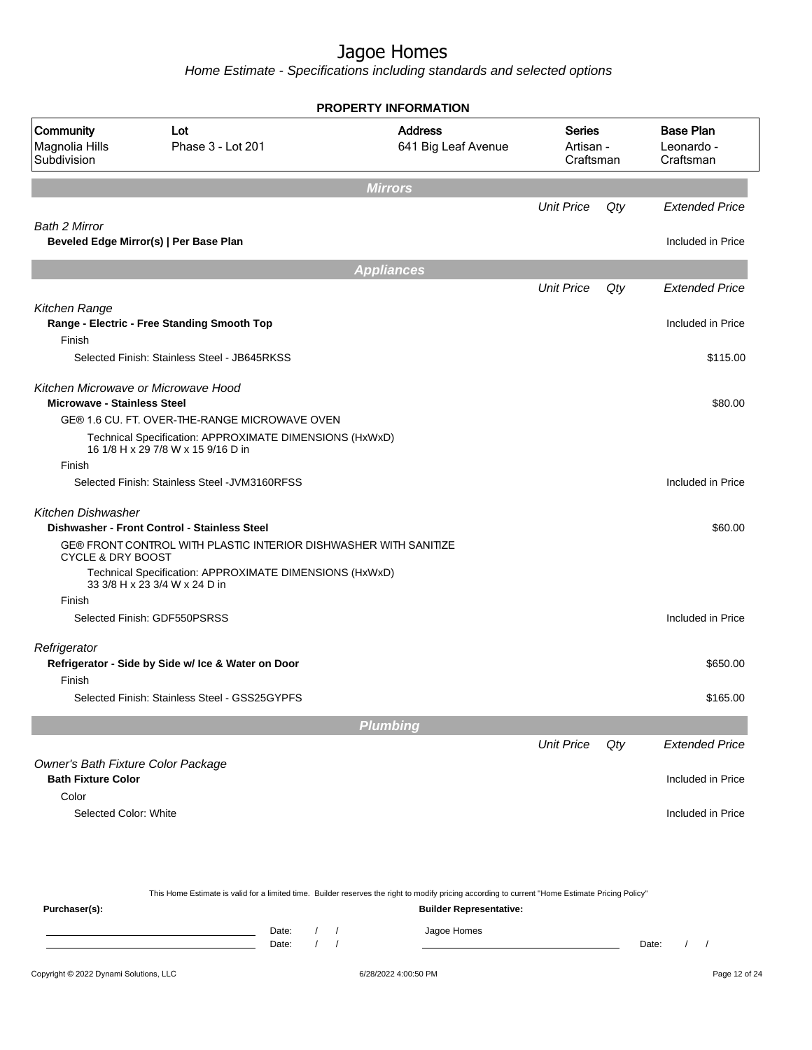Home Estimate - Specifications including standards and selected options

|                                                                           |                                                                                               | <b>PROPERTY INFORMATION</b>           |                                  |     |                                             |
|---------------------------------------------------------------------------|-----------------------------------------------------------------------------------------------|---------------------------------------|----------------------------------|-----|---------------------------------------------|
| <b>Community</b><br>Magnolia Hills<br>Subdivision                         | Lot<br>Phase 3 - Lot 201                                                                      | <b>Address</b><br>641 Big Leaf Avenue | Series<br>Artisan -<br>Craftsman |     | <b>Base Plan</b><br>Leonardo -<br>Craftsman |
|                                                                           |                                                                                               | <b>Mirrors</b>                        |                                  |     |                                             |
|                                                                           |                                                                                               |                                       | <b>Unit Price</b>                | Qty | Extended Price                              |
| <b>Bath 2 Mirror</b>                                                      |                                                                                               |                                       |                                  |     |                                             |
|                                                                           | Beveled Edge Mirror(s)   Per Base Plan                                                        |                                       |                                  |     | Included in Price                           |
|                                                                           |                                                                                               | <b>Appliances</b>                     |                                  |     |                                             |
|                                                                           |                                                                                               |                                       | <b>Unit Price</b>                | Qty | <b>Extended Price</b>                       |
| Kitchen Range                                                             | Range - Electric - Free Standing Smooth Top                                                   |                                       |                                  |     | Included in Price                           |
| Finish                                                                    | Selected Finish: Stainless Steel - JB645RKSS                                                  |                                       |                                  |     | \$115.00                                    |
|                                                                           |                                                                                               |                                       |                                  |     |                                             |
| Kitchen Microwave or Microwave Hood<br><b>Microwave - Stainless Steel</b> |                                                                                               |                                       |                                  |     | \$80.00                                     |
|                                                                           | GE® 1.6 CU. FT. OVER-THE-RANGE MICROWAVE OVEN                                                 |                                       |                                  |     |                                             |
|                                                                           | Technical Specification: APPROXIMATE DIMENSIONS (HxWxD)<br>16 1/8 H x 29 7/8 W x 15 9/16 D in |                                       |                                  |     |                                             |
| Finish                                                                    |                                                                                               |                                       |                                  |     |                                             |
|                                                                           | Selected Finish: Stainless Steel - JVM3160RFSS                                                |                                       |                                  |     | Included in Price                           |
| <b>Kitchen Dishwasher</b>                                                 | Dishwasher - Front Control - Stainless Steel                                                  |                                       |                                  |     | \$60.00                                     |
| <b>CYCLE &amp; DRY BOOST</b>                                              | GE® FRONT CONTROL WITH PLASTIC INTERIOR DISHWASHER WITH SANITIZE                              |                                       |                                  |     |                                             |
|                                                                           | Technical Specification: APPROXIMATE DIMENSIONS (HxWxD)<br>33 3/8 H x 23 3/4 W x 24 D in      |                                       |                                  |     |                                             |
| Finish                                                                    |                                                                                               |                                       |                                  |     |                                             |
|                                                                           | Selected Finish: GDF550PSRSS                                                                  |                                       |                                  |     | Included in Price                           |
| Refrigerator                                                              |                                                                                               |                                       |                                  |     |                                             |
|                                                                           | Refrigerator - Side by Side w/ Ice & Water on Door                                            |                                       |                                  |     | \$650.00                                    |
| Finish                                                                    |                                                                                               |                                       |                                  |     |                                             |
|                                                                           | Selected Finish: Stainless Steel - GSS25GYPFS                                                 |                                       |                                  |     | \$165.00                                    |
|                                                                           |                                                                                               | <b>Plumbing</b>                       |                                  |     |                                             |
|                                                                           |                                                                                               |                                       | <b>Unit Price</b>                | Qty | <b>Extended Price</b>                       |
| Owner's Bath Fixture Color Package<br><b>Bath Fixture Color</b>           |                                                                                               |                                       |                                  |     | Included in Price                           |
| Color                                                                     |                                                                                               |                                       |                                  |     |                                             |
| Selected Color: White                                                     |                                                                                               |                                       |                                  |     | Included in Price                           |
|                                                                           |                                                                                               |                                       |                                  |     |                                             |
|                                                                           |                                                                                               |                                       |                                  |     |                                             |
|                                                                           |                                                                                               |                                       |                                  |     |                                             |

This Home Estimate is valid for a limited time. Builder reserves the right to modify pricing according to current "Home Estimate Pricing Policy"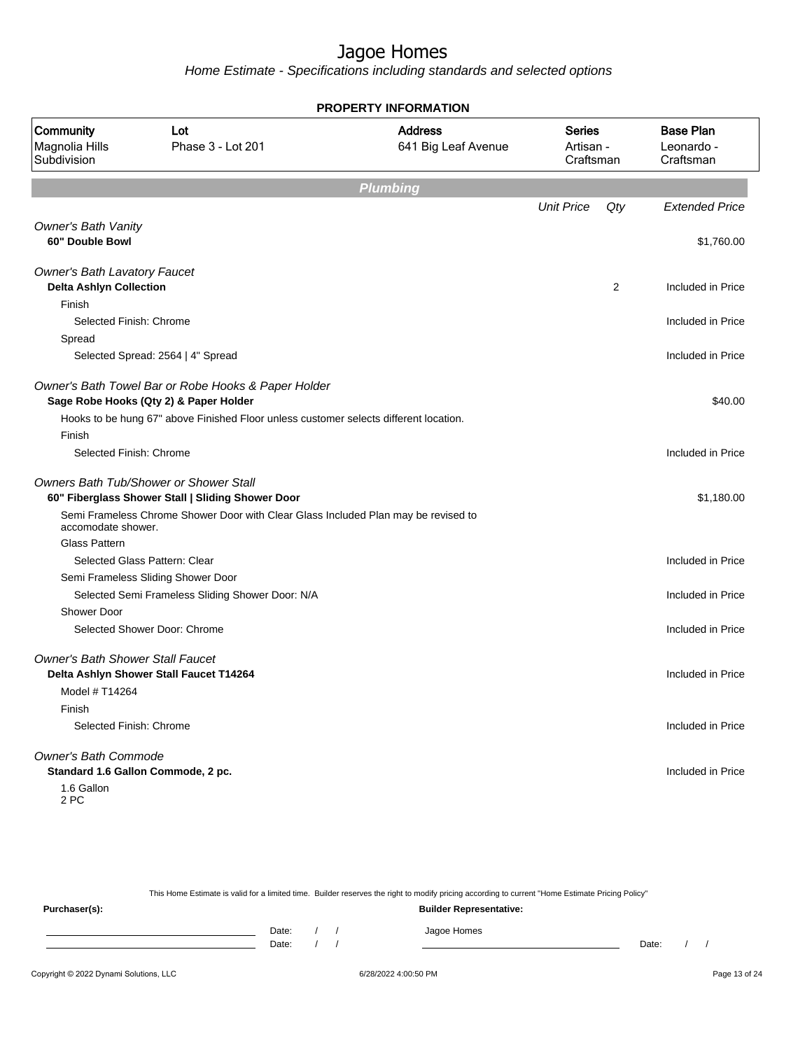Home Estimate - Specifications including standards and selected options

|                                                                       |                                                                                                    | <b>PROPERTY INFORMATION</b>           |                                         |     |                                             |
|-----------------------------------------------------------------------|----------------------------------------------------------------------------------------------------|---------------------------------------|-----------------------------------------|-----|---------------------------------------------|
| Community<br>Magnolia Hills<br>Subdivision                            | Lot<br>Phase 3 - Lot 201                                                                           | <b>Address</b><br>641 Big Leaf Avenue | <b>Series</b><br>Artisan -<br>Craftsman |     | <b>Base Plan</b><br>Leonardo -<br>Craftsman |
|                                                                       |                                                                                                    | <b>Plumbing</b>                       |                                         |     |                                             |
|                                                                       |                                                                                                    |                                       | <b>Unit Price</b>                       | Qty | <b>Extended Price</b>                       |
| <b>Owner's Bath Vanity</b><br>60" Double Bowl                         |                                                                                                    |                                       |                                         |     | \$1,760.00                                  |
| <b>Owner's Bath Lavatory Faucet</b><br><b>Delta Ashlyn Collection</b> |                                                                                                    |                                       |                                         | 2   | Included in Price                           |
| Finish                                                                |                                                                                                    |                                       |                                         |     |                                             |
| Selected Finish: Chrome                                               |                                                                                                    |                                       |                                         |     | Included in Price                           |
| Spread                                                                |                                                                                                    |                                       |                                         |     |                                             |
|                                                                       | Selected Spread: 2564   4" Spread                                                                  |                                       |                                         |     | Included in Price                           |
|                                                                       | Owner's Bath Towel Bar or Robe Hooks & Paper Holder<br>Sage Robe Hooks (Qty 2) & Paper Holder      |                                       |                                         |     | \$40.00                                     |
|                                                                       | Hooks to be hung 67" above Finished Floor unless customer selects different location.              |                                       |                                         |     |                                             |
| Finish                                                                |                                                                                                    |                                       |                                         |     |                                             |
| Selected Finish: Chrome                                               |                                                                                                    |                                       |                                         |     | Included in Price                           |
|                                                                       | <b>Owners Bath Tub/Shower or Shower Stall</b><br>60" Fiberglass Shower Stall   Sliding Shower Door |                                       |                                         |     | \$1,180.00                                  |
| accomodate shower.                                                    | Semi Frameless Chrome Shower Door with Clear Glass Included Plan may be revised to                 |                                       |                                         |     |                                             |
| <b>Glass Pattern</b>                                                  |                                                                                                    |                                       |                                         |     |                                             |
|                                                                       | Selected Glass Pattern: Clear                                                                      |                                       |                                         |     | Included in Price                           |
|                                                                       | Semi Frameless Sliding Shower Door                                                                 |                                       |                                         |     |                                             |
|                                                                       | Selected Semi Frameless Sliding Shower Door: N/A                                                   |                                       |                                         |     | Included in Price                           |
| <b>Shower Door</b>                                                    |                                                                                                    |                                       |                                         |     |                                             |
|                                                                       | Selected Shower Door: Chrome                                                                       |                                       |                                         |     | Included in Price                           |
| <b>Owner's Bath Shower Stall Faucet</b>                               | Delta Ashlyn Shower Stall Faucet T14264                                                            |                                       |                                         |     | Included in Price                           |
| Model # T14264                                                        |                                                                                                    |                                       |                                         |     |                                             |
| Finish                                                                |                                                                                                    |                                       |                                         |     |                                             |
| Selected Finish: Chrome                                               |                                                                                                    |                                       |                                         |     | Included in Price                           |
| Owner's Bath Commode                                                  | Standard 1.6 Gallon Commode, 2 pc.                                                                 |                                       |                                         |     | Included in Price                           |
| 1.6 Gallon<br>2 PC                                                    |                                                                                                    |                                       |                                         |     |                                             |

This Home Estimate is valid for a limited time. Builder reserves the right to modify pricing according to current "Home Estimate Pricing Policy" **Purchaser(s): Builder Representative:** Date: / / Jagoe Homes<br>Date: / / Jagoe Homes Date: / / Date: / /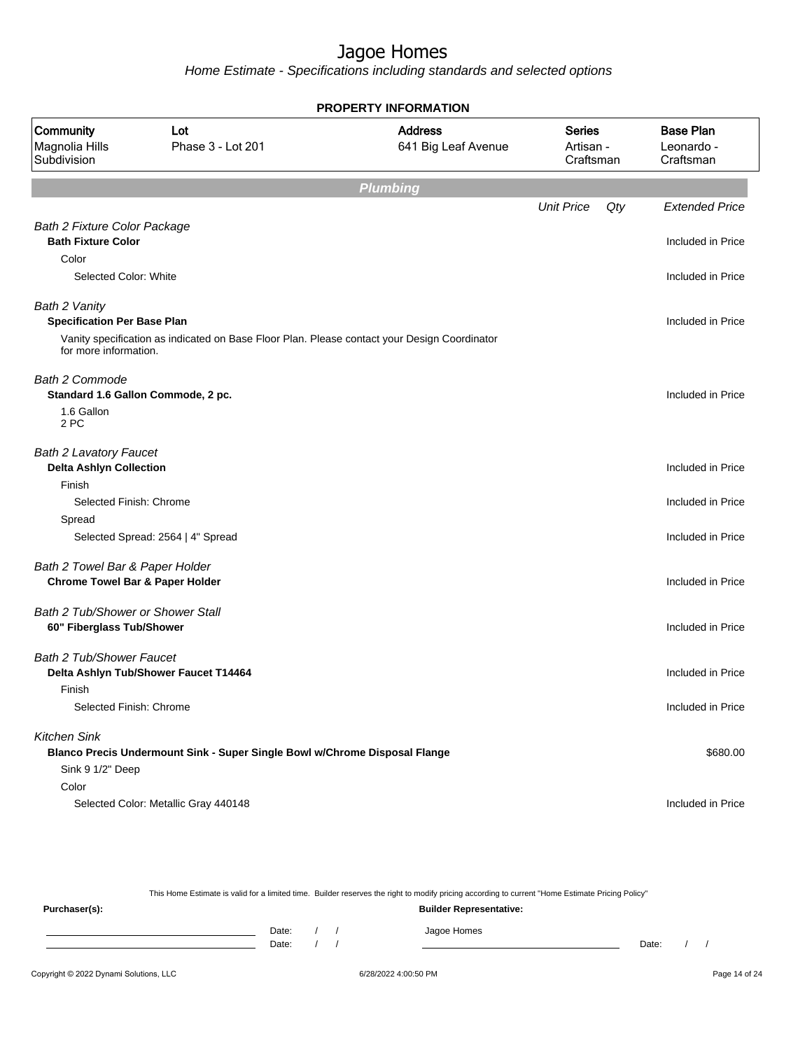Home Estimate - Specifications including standards and selected options

|                                                                | <b>PROPERTY INFORMATION</b>                                                                  |                                       |                                         |     |                                             |  |  |  |  |  |
|----------------------------------------------------------------|----------------------------------------------------------------------------------------------|---------------------------------------|-----------------------------------------|-----|---------------------------------------------|--|--|--|--|--|
| Community<br>Magnolia Hills<br>Subdivision                     | Lot<br>Phase 3 - Lot 201                                                                     | <b>Address</b><br>641 Big Leaf Avenue | <b>Series</b><br>Artisan -<br>Craftsman |     | <b>Base Plan</b><br>Leonardo -<br>Craftsman |  |  |  |  |  |
|                                                                |                                                                                              | Plumbing                              |                                         |     |                                             |  |  |  |  |  |
|                                                                |                                                                                              |                                       | <b>Unit Price</b>                       | Qty | <b>Extended Price</b>                       |  |  |  |  |  |
| <b>Bath 2 Fixture Color Package</b>                            |                                                                                              |                                       |                                         |     |                                             |  |  |  |  |  |
| <b>Bath Fixture Color</b>                                      |                                                                                              |                                       |                                         |     | Included in Price                           |  |  |  |  |  |
| Color                                                          |                                                                                              |                                       |                                         |     |                                             |  |  |  |  |  |
| Selected Color: White                                          |                                                                                              |                                       |                                         |     | Included in Price                           |  |  |  |  |  |
| Bath 2 Vanity<br><b>Specification Per Base Plan</b>            |                                                                                              |                                       |                                         |     | Included in Price                           |  |  |  |  |  |
| for more information.                                          | Vanity specification as indicated on Base Floor Plan. Please contact your Design Coordinator |                                       |                                         |     |                                             |  |  |  |  |  |
| <b>Bath 2 Commode</b>                                          | Standard 1.6 Gallon Commode, 2 pc.                                                           |                                       |                                         |     | Included in Price                           |  |  |  |  |  |
| 1.6 Gallon<br>2 PC                                             |                                                                                              |                                       |                                         |     |                                             |  |  |  |  |  |
| <b>Bath 2 Lavatory Faucet</b>                                  |                                                                                              |                                       |                                         |     |                                             |  |  |  |  |  |
| <b>Delta Ashlyn Collection</b>                                 |                                                                                              |                                       |                                         |     | Included in Price                           |  |  |  |  |  |
| Finish                                                         |                                                                                              |                                       |                                         |     |                                             |  |  |  |  |  |
| Selected Finish: Chrome                                        |                                                                                              |                                       |                                         |     | Included in Price                           |  |  |  |  |  |
| Spread                                                         |                                                                                              |                                       |                                         |     |                                             |  |  |  |  |  |
|                                                                | Selected Spread: 2564   4" Spread                                                            |                                       |                                         |     | Included in Price                           |  |  |  |  |  |
| Bath 2 Towel Bar & Paper Holder                                |                                                                                              |                                       |                                         |     |                                             |  |  |  |  |  |
| <b>Chrome Towel Bar &amp; Paper Holder</b>                     |                                                                                              |                                       |                                         |     | Included in Price                           |  |  |  |  |  |
|                                                                |                                                                                              |                                       |                                         |     |                                             |  |  |  |  |  |
| Bath 2 Tub/Shower or Shower Stall<br>60" Fiberglass Tub/Shower |                                                                                              |                                       |                                         |     | Included in Price                           |  |  |  |  |  |
|                                                                |                                                                                              |                                       |                                         |     |                                             |  |  |  |  |  |
| <b>Bath 2 Tub/Shower Faucet</b>                                | Delta Ashlyn Tub/Shower Faucet T14464                                                        |                                       |                                         |     | Included in Price                           |  |  |  |  |  |
| Finish                                                         |                                                                                              |                                       |                                         |     |                                             |  |  |  |  |  |
| Selected Finish: Chrome                                        |                                                                                              |                                       |                                         |     | Included in Price                           |  |  |  |  |  |
|                                                                |                                                                                              |                                       |                                         |     |                                             |  |  |  |  |  |
| <b>Kitchen Sink</b>                                            |                                                                                              |                                       |                                         |     |                                             |  |  |  |  |  |
| Sink 9 1/2" Deep                                               | Blanco Precis Undermount Sink - Super Single Bowl w/Chrome Disposal Flange                   |                                       |                                         |     | \$680.00                                    |  |  |  |  |  |
| Color                                                          |                                                                                              |                                       |                                         |     |                                             |  |  |  |  |  |
|                                                                | Selected Color: Metallic Gray 440148                                                         |                                       |                                         |     | Included in Price                           |  |  |  |  |  |
|                                                                |                                                                                              |                                       |                                         |     |                                             |  |  |  |  |  |

This Home Estimate is valid for a limited time. Builder reserves the right to modify pricing according to current "Home Estimate Pricing Policy" **Purchaser(s): Builder Representative:** Date: / / Jagoe Homes<br>Date: / / Jagoe Homes Date: / / Date: / /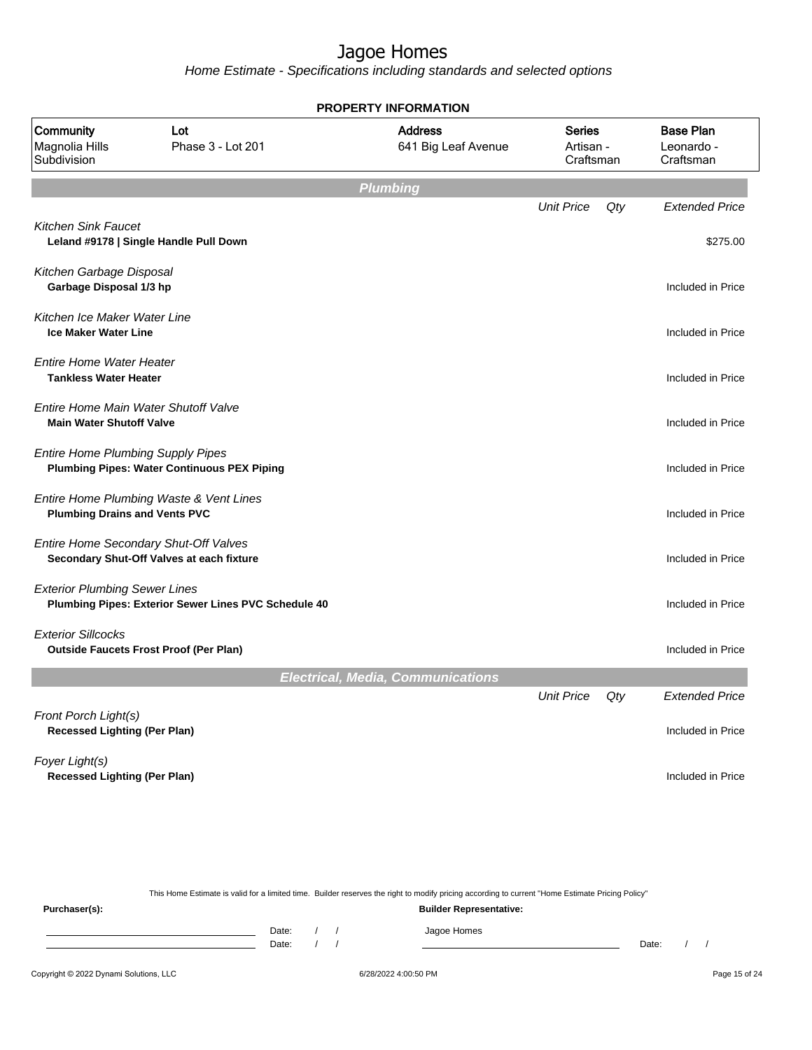Home Estimate - Specifications including standards and selected options

|                                                                            |                                                      | <b>PROPERTY INFORMATION</b>              |                                         |     |                                             |
|----------------------------------------------------------------------------|------------------------------------------------------|------------------------------------------|-----------------------------------------|-----|---------------------------------------------|
| Community<br>Magnolia Hills<br>Subdivision                                 | Lot<br>Phase 3 - Lot 201                             | <b>Address</b><br>641 Big Leaf Avenue    | <b>Series</b><br>Artisan -<br>Craftsman |     | <b>Base Plan</b><br>Leonardo -<br>Craftsman |
|                                                                            |                                                      | <b>Plumbing</b>                          |                                         |     |                                             |
| <b>Kitchen Sink Faucet</b>                                                 |                                                      |                                          | <b>Unit Price</b>                       | Qty | <b>Extended Price</b>                       |
| Leland #9178   Single Handle Pull Down                                     |                                                      |                                          |                                         |     | \$275.00                                    |
| Kitchen Garbage Disposal<br>Garbage Disposal 1/3 hp                        |                                                      |                                          |                                         |     | Included in Price                           |
| Kitchen Ice Maker Water Line<br><b>Ice Maker Water Line</b>                |                                                      |                                          |                                         |     | Included in Price                           |
| <b>Entire Home Water Heater</b><br><b>Tankless Water Heater</b>            |                                                      |                                          |                                         |     | Included in Price                           |
| Entire Home Main Water Shutoff Valve<br><b>Main Water Shutoff Valve</b>    |                                                      |                                          |                                         |     | Included in Price                           |
| <b>Entire Home Plumbing Supply Pipes</b>                                   | <b>Plumbing Pipes: Water Continuous PEX Piping</b>   |                                          |                                         |     | Included in Price                           |
| <b>Plumbing Drains and Vents PVC</b>                                       | Entire Home Plumbing Waste & Vent Lines              |                                          |                                         |     | Included in Price                           |
| Entire Home Secondary Shut-Off Valves                                      | Secondary Shut-Off Valves at each fixture            |                                          |                                         |     | Included in Price                           |
| <b>Exterior Plumbing Sewer Lines</b>                                       | Plumbing Pipes: Exterior Sewer Lines PVC Schedule 40 |                                          |                                         |     | Included in Price                           |
| <b>Exterior Sillcocks</b><br><b>Outside Faucets Frost Proof (Per Plan)</b> |                                                      |                                          |                                         |     | Included in Price                           |
|                                                                            |                                                      | <b>Electrical, Media, Communications</b> |                                         |     |                                             |
| Front Porch Light(s)                                                       |                                                      |                                          | <b>Unit Price</b>                       | Qty | <b>Extended Price</b>                       |
| <b>Recessed Lighting (Per Plan)</b>                                        |                                                      |                                          |                                         |     | Included in Price                           |
| Foyer Light(s)<br><b>Recessed Lighting (Per Plan)</b>                      |                                                      |                                          |                                         |     | Included in Price                           |
|                                                                            |                                                      |                                          |                                         |     |                                             |

This Home Estimate is valid for a limited time. Builder reserves the right to modify pricing according to current "Home Estimate Pricing Policy"

**Purchaser(s): Builder Representative:** Date: / / Jagoe Homes<br>Date: / / Jagoe Homes Date: / / **Date: / / 2006** Date: / / / Date: / / / Date: / / / 2006 Date: / / / 2006 Date: / / / 2006 Date: / / / 2006 Date: / / / 2007 Date: / / / 2007 Date: / / / 2007 Date: / / / 2007 Date: / / / 2007 Date: / / / 2007 D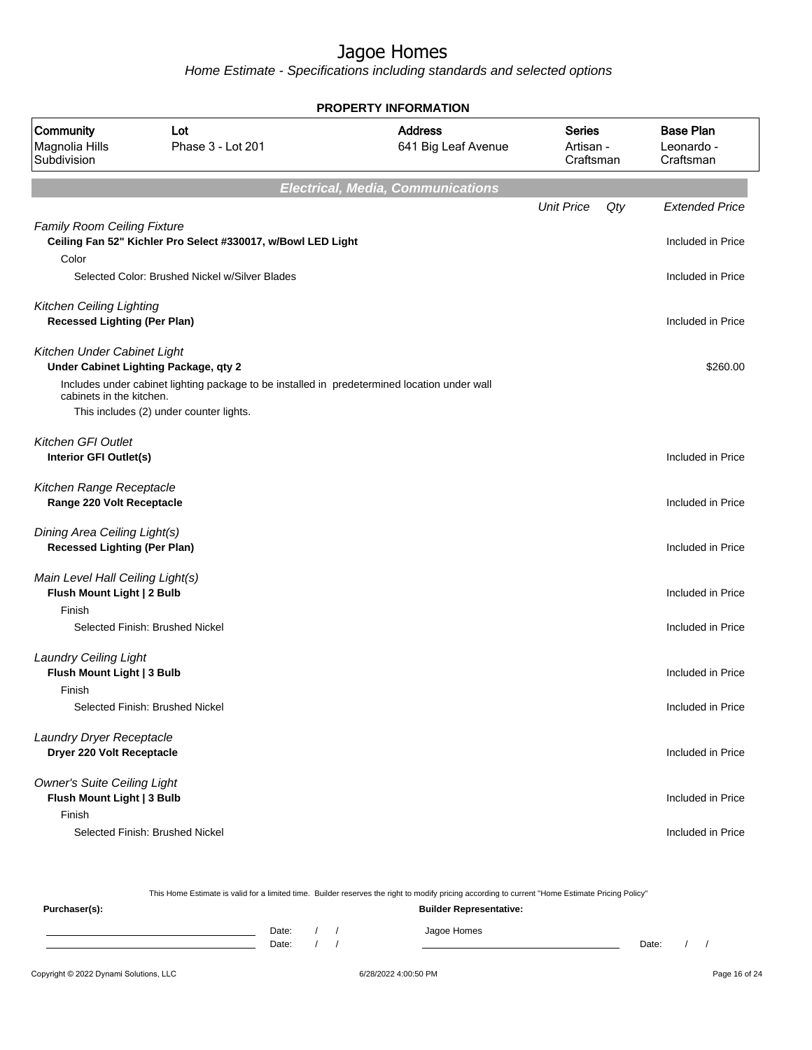|                                                                            |                                                                                              | <b>PROPERTY INFORMATION</b>              |                                         |     |                                             |
|----------------------------------------------------------------------------|----------------------------------------------------------------------------------------------|------------------------------------------|-----------------------------------------|-----|---------------------------------------------|
| <b>Community</b><br>Magnolia Hills<br>Subdivision                          | Lot<br>Phase 3 - Lot 201                                                                     | <b>Address</b><br>641 Big Leaf Avenue    | <b>Series</b><br>Artisan -<br>Craftsman |     | <b>Base Plan</b><br>Leonardo -<br>Craftsman |
|                                                                            |                                                                                              | <b>Electrical, Media, Communications</b> |                                         |     |                                             |
|                                                                            |                                                                                              |                                          | <b>Unit Price</b>                       | Qty | <b>Extended Price</b>                       |
| <b>Family Room Ceiling Fixture</b><br>Color                                | Ceiling Fan 52" Kichler Pro Select #330017, w/Bowl LED Light                                 |                                          |                                         |     | Included in Price                           |
|                                                                            | Selected Color: Brushed Nickel w/Silver Blades                                               |                                          |                                         |     | Included in Price                           |
| <b>Kitchen Ceiling Lighting</b><br><b>Recessed Lighting (Per Plan)</b>     |                                                                                              |                                          |                                         |     | Included in Price                           |
| Kitchen Under Cabinet Light                                                | Under Cabinet Lighting Package, qty 2                                                        |                                          |                                         |     | \$260.00                                    |
| cabinets in the kitchen.                                                   | Includes under cabinet lighting package to be installed in predetermined location under wall |                                          |                                         |     |                                             |
|                                                                            | This includes (2) under counter lights.                                                      |                                          |                                         |     |                                             |
| Kitchen GFI Outlet<br>Interior GFI Outlet(s)                               |                                                                                              |                                          |                                         |     | Included in Price                           |
| Kitchen Range Receptacle<br>Range 220 Volt Receptacle                      |                                                                                              |                                          |                                         |     | Included in Price                           |
| Dining Area Ceiling Light(s)<br><b>Recessed Lighting (Per Plan)</b>        |                                                                                              |                                          |                                         |     | Included in Price                           |
| Main Level Hall Ceiling Light(s)<br>Flush Mount Light   2 Bulb<br>Finish   |                                                                                              |                                          |                                         |     | Included in Price                           |
|                                                                            | Selected Finish: Brushed Nickel                                                              |                                          |                                         |     | Included in Price                           |
| <b>Laundry Ceiling Light</b><br>Flush Mount Light   3 Bulb<br>Finish       |                                                                                              |                                          |                                         |     | Included in Price                           |
|                                                                            | Selected Finish: Brushed Nickel                                                              |                                          |                                         |     | Included in Price                           |
| Laundry Dryer Receptacle<br>Dryer 220 Volt Receptacle                      |                                                                                              |                                          |                                         |     | Included in Price                           |
| <b>Owner's Suite Ceiling Light</b><br>Flush Mount Light   3 Bulb<br>Finish |                                                                                              |                                          |                                         |     | Included in Price                           |
|                                                                            | Selected Finish: Brushed Nickel                                                              |                                          |                                         |     | Included in Price                           |

|                                        |                |  | This Home Estimate is valid for a limited time. Builder reserves the right to modify pricing according to current "Home Estimate Pricing Policy" |       |  |               |
|----------------------------------------|----------------|--|--------------------------------------------------------------------------------------------------------------------------------------------------|-------|--|---------------|
| Purchaser(s):                          |                |  | <b>Builder Representative:</b>                                                                                                                   |       |  |               |
|                                        | Date:<br>Date: |  | Jagoe Homes                                                                                                                                      | Date: |  |               |
| Copyright © 2022 Dynami Solutions, LLC |                |  | 6/28/2022 4:00:50 PM                                                                                                                             |       |  | Page 16 of 24 |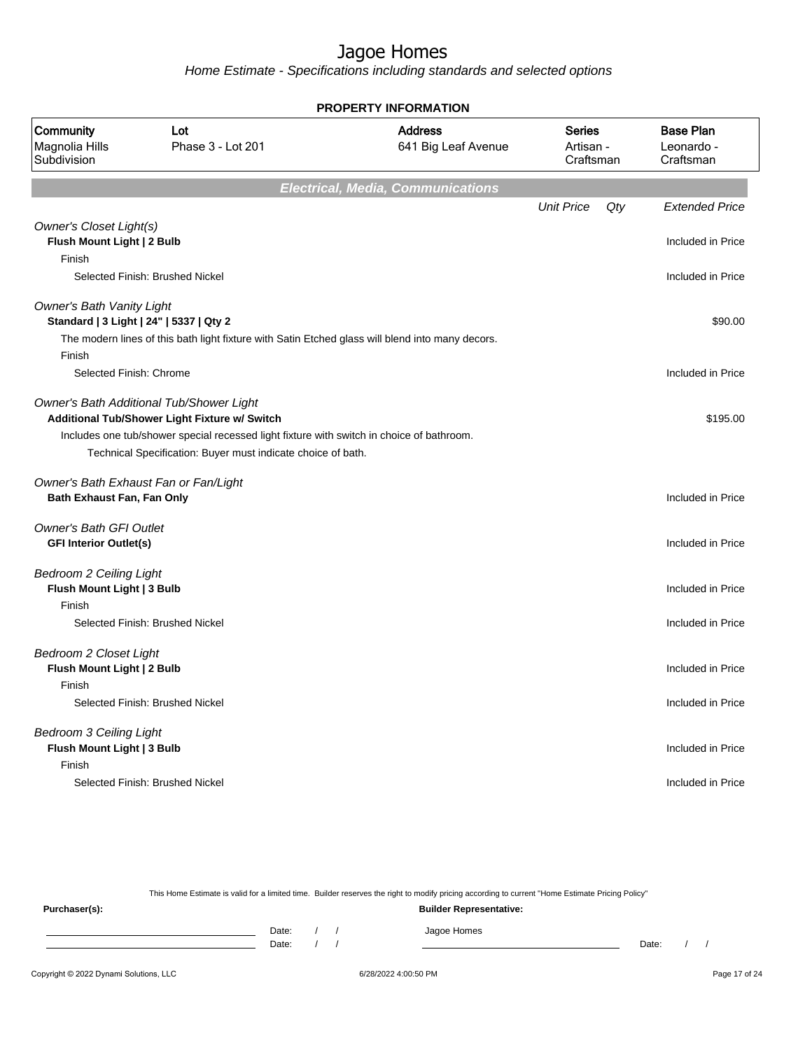Home Estimate - Specifications including standards and selected options

| <b>PROPERTY INFORMATION</b>                                                 |                                                                                                  |                                          |                                         |     |                                             |  |
|-----------------------------------------------------------------------------|--------------------------------------------------------------------------------------------------|------------------------------------------|-----------------------------------------|-----|---------------------------------------------|--|
| <b>Community</b><br>Magnolia Hills<br>Subdivision                           | Lot<br>Phase 3 - Lot 201                                                                         | <b>Address</b><br>641 Big Leaf Avenue    | <b>Series</b><br>Artisan -<br>Craftsman |     | <b>Base Plan</b><br>Leonardo -<br>Craftsman |  |
|                                                                             |                                                                                                  | <b>Electrical, Media, Communications</b> |                                         |     |                                             |  |
|                                                                             |                                                                                                  |                                          | <b>Unit Price</b>                       | Qty | <b>Extended Price</b>                       |  |
| <b>Owner's Closet Light(s)</b><br>Flush Mount Light   2 Bulb                |                                                                                                  |                                          |                                         |     | Included in Price                           |  |
| Finish                                                                      |                                                                                                  |                                          |                                         |     |                                             |  |
|                                                                             | Selected Finish: Brushed Nickel                                                                  |                                          |                                         |     | Included in Price                           |  |
| <b>Owner's Bath Vanity Light</b><br>Standard   3 Light   24"   5337   Qty 2 |                                                                                                  |                                          |                                         |     | \$90.00                                     |  |
|                                                                             | The modern lines of this bath light fixture with Satin Etched glass will blend into many decors. |                                          |                                         |     |                                             |  |
| Finish                                                                      |                                                                                                  |                                          |                                         |     |                                             |  |
| Selected Finish: Chrome                                                     |                                                                                                  |                                          |                                         |     | Included in Price                           |  |
|                                                                             | Owner's Bath Additional Tub/Shower Light<br>Additional Tub/Shower Light Fixture w/ Switch        |                                          |                                         |     | \$195.00                                    |  |
|                                                                             | Includes one tub/shower special recessed light fixture with switch in choice of bathroom.        |                                          |                                         |     |                                             |  |
|                                                                             | Technical Specification: Buyer must indicate choice of bath.                                     |                                          |                                         |     |                                             |  |
|                                                                             | Owner's Bath Exhaust Fan or Fan/Light                                                            |                                          |                                         |     |                                             |  |
| Bath Exhaust Fan, Fan Only                                                  |                                                                                                  |                                          |                                         |     | Included in Price                           |  |
| <b>Owner's Bath GFI Outlet</b>                                              |                                                                                                  |                                          |                                         |     |                                             |  |
| <b>GFI Interior Outlet(s)</b>                                               |                                                                                                  |                                          |                                         |     | Included in Price                           |  |
| <b>Bedroom 2 Ceiling Light</b>                                              |                                                                                                  |                                          |                                         |     |                                             |  |
| Flush Mount Light   3 Bulb                                                  |                                                                                                  |                                          |                                         |     | Included in Price                           |  |
| Finish                                                                      |                                                                                                  |                                          |                                         |     |                                             |  |
|                                                                             | Selected Finish: Brushed Nickel                                                                  |                                          |                                         |     | Included in Price                           |  |
| <b>Bedroom 2 Closet Light</b>                                               |                                                                                                  |                                          |                                         |     |                                             |  |
| Flush Mount Light   2 Bulb                                                  |                                                                                                  |                                          |                                         |     | Included in Price                           |  |
| Finish                                                                      |                                                                                                  |                                          |                                         |     |                                             |  |
|                                                                             | Selected Finish: Brushed Nickel                                                                  |                                          |                                         |     | Included in Price                           |  |
| <b>Bedroom 3 Ceiling Light</b>                                              |                                                                                                  |                                          |                                         |     |                                             |  |
| Flush Mount Light   3 Bulb                                                  |                                                                                                  |                                          |                                         |     | Included in Price                           |  |
| Finish                                                                      |                                                                                                  |                                          |                                         |     |                                             |  |
|                                                                             | Selected Finish: Brushed Nickel                                                                  |                                          |                                         |     | Included in Price                           |  |
|                                                                             |                                                                                                  |                                          |                                         |     |                                             |  |

This Home Estimate is valid for a limited time. Builder reserves the right to modify pricing according to current "Home Estimate Pricing Policy"

**Purchaser(s): Builder Representative:** Date: / / Jagoe Homes<br>Date: / / Jagoe Homes Date: / / **Date: / / 2006** Date: / / / Date: / / / Date: / / / 2006 Date: / / / 2006 Date: / / / 2006 Date: / / / 2006 Date: / / / 2007 Date: / / / 2007 Date: / / / 2007 Date: / / / 2007 Date: / / / 2007 Date: / / / 2007 D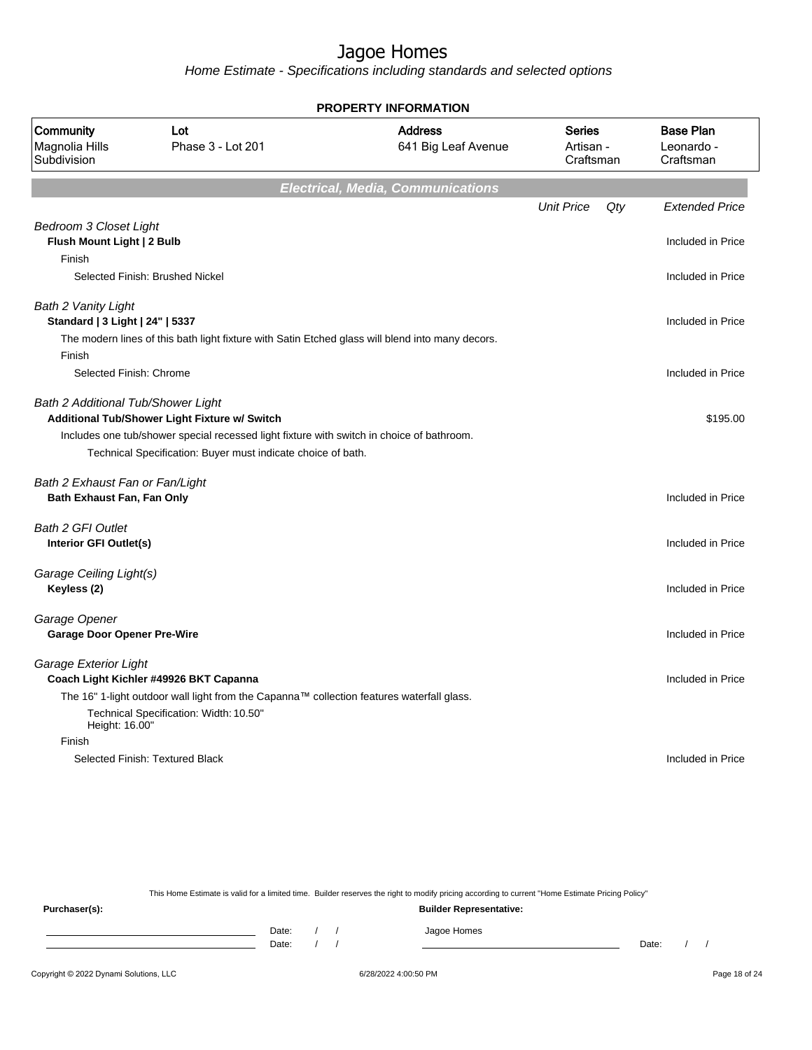Home Estimate - Specifications including standards and selected options

| <b>PROPERTY INFORMATION</b>                                           |                                                                                                                                                                                                            |                                          |                                         |     |                                             |  |
|-----------------------------------------------------------------------|------------------------------------------------------------------------------------------------------------------------------------------------------------------------------------------------------------|------------------------------------------|-----------------------------------------|-----|---------------------------------------------|--|
| Community<br>Magnolia Hills<br>Subdivision                            | Lot<br>Phase 3 - Lot 201                                                                                                                                                                                   | <b>Address</b><br>641 Big Leaf Avenue    | <b>Series</b><br>Artisan -<br>Craftsman |     | <b>Base Plan</b><br>Leonardo -<br>Craftsman |  |
|                                                                       |                                                                                                                                                                                                            | <b>Electrical, Media, Communications</b> |                                         |     |                                             |  |
|                                                                       |                                                                                                                                                                                                            |                                          | <b>Unit Price</b>                       | Qty | <b>Extended Price</b>                       |  |
| <b>Bedroom 3 Closet Light</b><br>Flush Mount Light   2 Bulb<br>Finish |                                                                                                                                                                                                            |                                          |                                         |     | Included in Price                           |  |
|                                                                       | Selected Finish: Brushed Nickel                                                                                                                                                                            |                                          |                                         |     | Included in Price                           |  |
| Bath 2 Vanity Light<br>Standard   3 Light   24"   5337                | The modern lines of this bath light fixture with Satin Etched glass will blend into many decors.                                                                                                           |                                          |                                         |     | Included in Price                           |  |
| Finish<br>Selected Finish: Chrome                                     |                                                                                                                                                                                                            |                                          |                                         |     | Included in Price                           |  |
| Bath 2 Additional Tub/Shower Light                                    | Additional Tub/Shower Light Fixture w/ Switch<br>Includes one tub/shower special recessed light fixture with switch in choice of bathroom.<br>Technical Specification: Buyer must indicate choice of bath. |                                          |                                         |     | \$195.00                                    |  |
| Bath 2 Exhaust Fan or Fan/Light<br>Bath Exhaust Fan, Fan Only         |                                                                                                                                                                                                            |                                          |                                         |     | Included in Price                           |  |
| <b>Bath 2 GFI Outlet</b><br>Interior GFI Outlet(s)                    |                                                                                                                                                                                                            |                                          |                                         |     | Included in Price                           |  |
| Garage Ceiling Light(s)<br>Keyless (2)                                |                                                                                                                                                                                                            |                                          |                                         |     | Included in Price                           |  |
| Garage Opener<br><b>Garage Door Opener Pre-Wire</b>                   |                                                                                                                                                                                                            |                                          |                                         |     | Included in Price                           |  |
| Garage Exterior Light<br>Height: 16.00"                               | Coach Light Kichler #49926 BKT Capanna<br>The 16" 1-light outdoor wall light from the Capanna™ collection features waterfall glass.<br>Technical Specification: Width: 10.50"                              |                                          |                                         |     | Included in Price                           |  |
| Finish                                                                |                                                                                                                                                                                                            |                                          |                                         |     |                                             |  |
|                                                                       | Selected Finish: Textured Black                                                                                                                                                                            |                                          |                                         |     | Included in Price                           |  |

This Home Estimate is valid for a limited time. Builder reserves the right to modify pricing according to current "Home Estimate Pricing Policy" **Purchaser(s): Builder Representative:**

Date: / / Jagoe Homes<br>Date: / / Jagoe Homes Date: / / Date: / /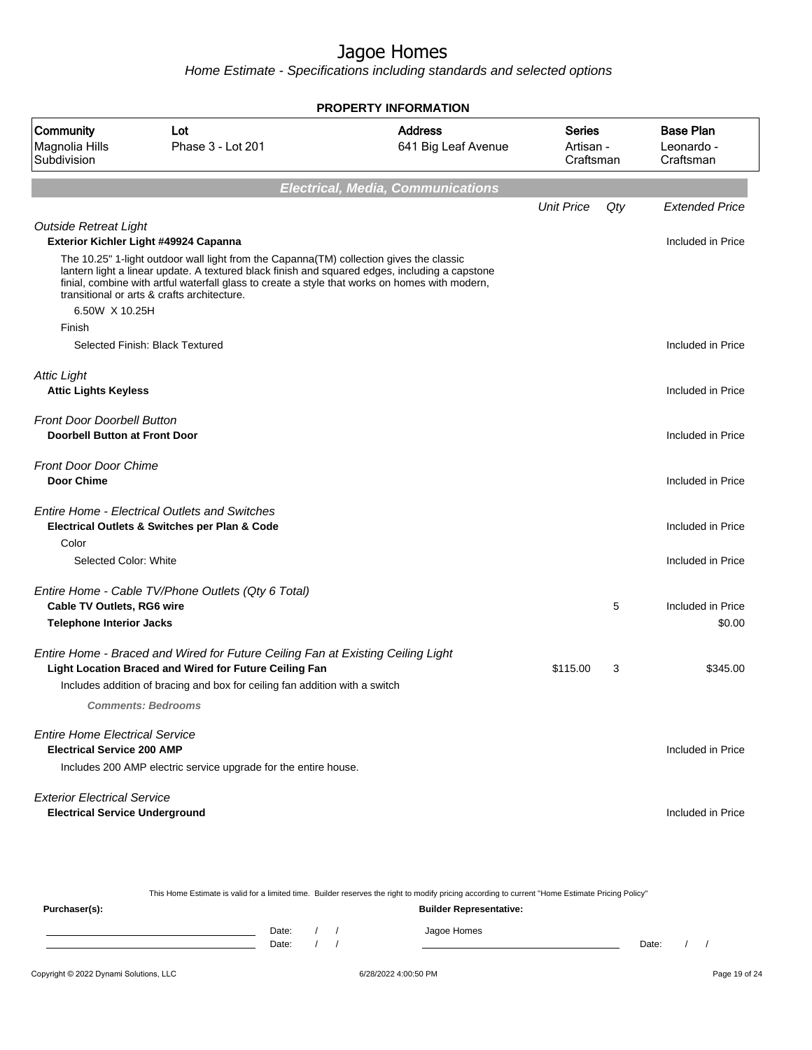| <b>PROPERTY INFORMATION</b>                                                 |                                                                                                                                                                                                                                                                                                                                            |                                          |                                         |     |                                             |
|-----------------------------------------------------------------------------|--------------------------------------------------------------------------------------------------------------------------------------------------------------------------------------------------------------------------------------------------------------------------------------------------------------------------------------------|------------------------------------------|-----------------------------------------|-----|---------------------------------------------|
| <b>Community</b><br>Magnolia Hills<br>Subdivision                           | Lot<br>Phase 3 - Lot 201                                                                                                                                                                                                                                                                                                                   | <b>Address</b><br>641 Big Leaf Avenue    | <b>Series</b><br>Artisan -<br>Craftsman |     | <b>Base Plan</b><br>Leonardo -<br>Craftsman |
|                                                                             |                                                                                                                                                                                                                                                                                                                                            | <b>Electrical, Media, Communications</b> |                                         |     |                                             |
|                                                                             |                                                                                                                                                                                                                                                                                                                                            |                                          | <b>Unit Price</b>                       | Qty | <b>Extended Price</b>                       |
| <b>Outside Retreat Light</b>                                                | Exterior Kichler Light #49924 Capanna                                                                                                                                                                                                                                                                                                      |                                          |                                         |     | Included in Price                           |
|                                                                             | The 10.25" 1-light outdoor wall light from the Capanna(TM) collection gives the classic<br>lantern light a linear update. A textured black finish and squared edges, including a capstone<br>finial, combine with artful waterfall glass to create a style that works on homes with modern,<br>transitional or arts & crafts architecture. |                                          |                                         |     |                                             |
| 6.50W X 10.25H                                                              |                                                                                                                                                                                                                                                                                                                                            |                                          |                                         |     |                                             |
| Finish                                                                      |                                                                                                                                                                                                                                                                                                                                            |                                          |                                         |     |                                             |
|                                                                             | Selected Finish: Black Textured                                                                                                                                                                                                                                                                                                            |                                          |                                         |     | Included in Price                           |
| <b>Attic Light</b><br><b>Attic Lights Keyless</b>                           |                                                                                                                                                                                                                                                                                                                                            |                                          |                                         |     | Included in Price                           |
| <b>Front Door Doorbell Button</b><br><b>Doorbell Button at Front Door</b>   |                                                                                                                                                                                                                                                                                                                                            |                                          |                                         |     | Included in Price                           |
| <b>Front Door Door Chime</b><br><b>Door Chime</b>                           |                                                                                                                                                                                                                                                                                                                                            |                                          |                                         |     | Included in Price                           |
|                                                                             | <b>Entire Home - Electrical Outlets and Switches</b><br>Electrical Outlets & Switches per Plan & Code                                                                                                                                                                                                                                      |                                          |                                         |     | Included in Price                           |
| Color<br>Selected Color: White                                              |                                                                                                                                                                                                                                                                                                                                            |                                          |                                         |     | Included in Price                           |
| <b>Cable TV Outlets, RG6 wire</b>                                           | Entire Home - Cable TV/Phone Outlets (Qty 6 Total)                                                                                                                                                                                                                                                                                         |                                          |                                         | 5   | Included in Price                           |
| <b>Telephone Interior Jacks</b>                                             |                                                                                                                                                                                                                                                                                                                                            |                                          |                                         |     | \$0.00                                      |
|                                                                             | Entire Home - Braced and Wired for Future Ceiling Fan at Existing Ceiling Light<br>Light Location Braced and Wired for Future Ceiling Fan                                                                                                                                                                                                  |                                          | \$115.00                                | 3   | \$345.00                                    |
|                                                                             | Includes addition of bracing and box for ceiling fan addition with a switch                                                                                                                                                                                                                                                                |                                          |                                         |     |                                             |
|                                                                             | <b>Comments: Bedrooms</b>                                                                                                                                                                                                                                                                                                                  |                                          |                                         |     |                                             |
| <b>Entire Home Electrical Service</b><br><b>Electrical Service 200 AMP</b>  | Includes 200 AMP electric service upgrade for the entire house.                                                                                                                                                                                                                                                                            |                                          |                                         |     | Included in Price                           |
| <b>Exterior Electrical Service</b><br><b>Electrical Service Underground</b> |                                                                                                                                                                                                                                                                                                                                            |                                          |                                         |     | Included in Price                           |

| This Home Estimate is valid for a limited time. Builder reserves the right to modify pricing according to current "Home Estimate Pricing Policy" |                                |  |  |             |       |  |  |  |
|--------------------------------------------------------------------------------------------------------------------------------------------------|--------------------------------|--|--|-------------|-------|--|--|--|
| Purchaser(s):                                                                                                                                    | <b>Builder Representative:</b> |  |  |             |       |  |  |  |
|                                                                                                                                                  | Date:                          |  |  | Jagoe Homes |       |  |  |  |
|                                                                                                                                                  | Date:                          |  |  |             | Date: |  |  |  |
|                                                                                                                                                  |                                |  |  |             |       |  |  |  |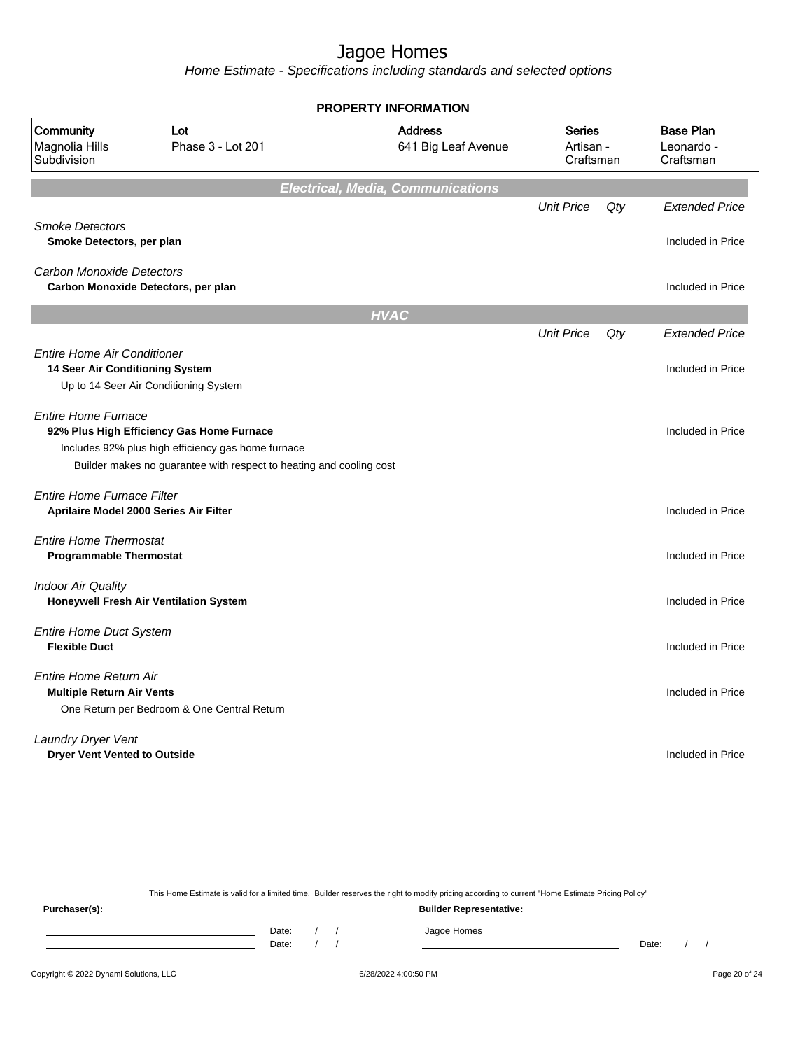Home Estimate - Specifications including standards and selected options

|                                                                             |                                                                                                                                                                        | <b>PROPERTY INFORMATION</b>              |                                         |     |                                             |
|-----------------------------------------------------------------------------|------------------------------------------------------------------------------------------------------------------------------------------------------------------------|------------------------------------------|-----------------------------------------|-----|---------------------------------------------|
| Community<br>Magnolia Hills<br>Subdivision                                  | Lot<br>Phase 3 - Lot 201                                                                                                                                               | <b>Address</b><br>641 Big Leaf Avenue    | <b>Series</b><br>Artisan -<br>Craftsman |     | <b>Base Plan</b><br>Leonardo -<br>Craftsman |
|                                                                             |                                                                                                                                                                        | <b>Electrical, Media, Communications</b> |                                         |     |                                             |
| <b>Smoke Detectors</b><br>Smoke Detectors, per plan                         |                                                                                                                                                                        |                                          | <b>Unit Price</b>                       | Qty | <b>Extended Price</b><br>Included in Price  |
| <b>Carbon Monoxide Detectors</b><br>Carbon Monoxide Detectors, per plan     |                                                                                                                                                                        |                                          |                                         |     | Included in Price                           |
|                                                                             |                                                                                                                                                                        | <b>HVAC</b>                              |                                         |     |                                             |
|                                                                             |                                                                                                                                                                        |                                          | <b>Unit Price</b>                       | Qty | <b>Extended Price</b>                       |
| <b>Entire Home Air Conditioner</b><br>14 Seer Air Conditioning System       | Up to 14 Seer Air Conditioning System                                                                                                                                  |                                          |                                         |     | Included in Price                           |
| <b>Entire Home Furnace</b>                                                  | 92% Plus High Efficiency Gas Home Furnace<br>Includes 92% plus high efficiency gas home furnace<br>Builder makes no guarantee with respect to heating and cooling cost |                                          |                                         |     | Included in Price                           |
| <b>Entire Home Furnace Filter</b><br>Aprilaire Model 2000 Series Air Filter |                                                                                                                                                                        |                                          |                                         |     | Included in Price                           |
| <b>Entire Home Thermostat</b><br><b>Programmable Thermostat</b>             |                                                                                                                                                                        |                                          |                                         |     | Included in Price                           |
| <b>Indoor Air Quality</b>                                                   | <b>Honeywell Fresh Air Ventilation System</b>                                                                                                                          |                                          |                                         |     | Included in Price                           |
| <b>Entire Home Duct System</b><br><b>Flexible Duct</b>                      |                                                                                                                                                                        |                                          |                                         |     | Included in Price                           |
| Entire Home Return Air<br><b>Multiple Return Air Vents</b>                  | One Return per Bedroom & One Central Return                                                                                                                            |                                          |                                         |     | Included in Price                           |
| Laundry Dryer Vent<br><b>Dryer Vent Vented to Outside</b>                   |                                                                                                                                                                        |                                          |                                         |     | Included in Price                           |

This Home Estimate is valid for a limited time. Builder reserves the right to modify pricing according to current "Home Estimate Pricing Policy" **Purchaser(s): Builder Representative:** Date: / / Jagoe Homes<br>Date: / / Jagoe Homes Date: / / Date: / /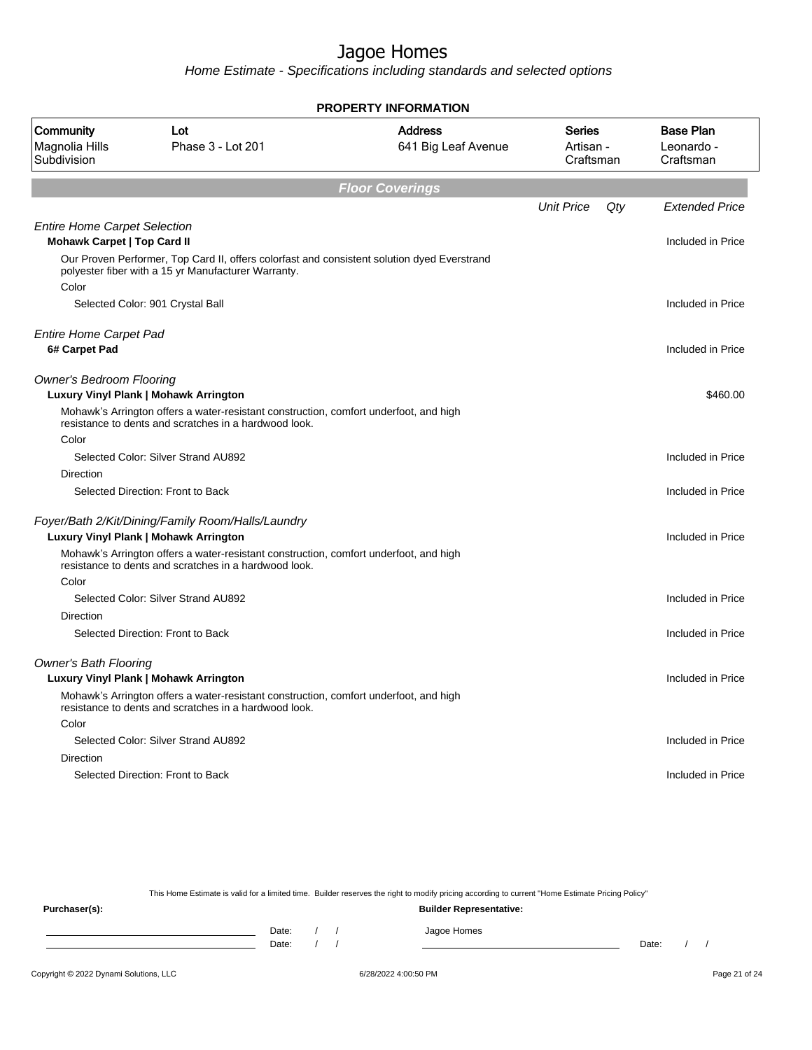Home Estimate - Specifications including standards and selected options

| <b>PROPERTY INFORMATION</b>                                               |                                                                                                                                                    |                                       |                                  |                                             |  |  |
|---------------------------------------------------------------------------|----------------------------------------------------------------------------------------------------------------------------------------------------|---------------------------------------|----------------------------------|---------------------------------------------|--|--|
| Community<br>Magnolia Hills<br>Subdivision                                | Lot<br>Phase 3 - Lot 201                                                                                                                           | <b>Address</b><br>641 Big Leaf Avenue | Series<br>Artisan -<br>Craftsman | <b>Base Plan</b><br>Leonardo -<br>Craftsman |  |  |
|                                                                           |                                                                                                                                                    | <b>Floor Coverings</b>                |                                  |                                             |  |  |
|                                                                           |                                                                                                                                                    |                                       | <b>Unit Price</b>                | Qty<br><b>Extended Price</b>                |  |  |
| <b>Entire Home Carpet Selection</b><br><b>Mohawk Carpet   Top Card II</b> |                                                                                                                                                    |                                       |                                  | Included in Price                           |  |  |
| Color                                                                     | Our Proven Performer, Top Card II, offers colorfast and consistent solution dyed Everstrand<br>polyester fiber with a 15 yr Manufacturer Warranty. |                                       |                                  |                                             |  |  |
|                                                                           | Selected Color: 901 Crystal Ball                                                                                                                   |                                       |                                  | Included in Price                           |  |  |
| <b>Entire Home Carpet Pad</b><br>6# Carpet Pad                            |                                                                                                                                                    |                                       |                                  | Included in Price                           |  |  |
| <b>Owner's Bedroom Flooring</b>                                           | Luxury Vinyl Plank   Mohawk Arrington                                                                                                              |                                       |                                  | \$460.00                                    |  |  |
|                                                                           | Mohawk's Arrington offers a water-resistant construction, comfort underfoot, and high<br>resistance to dents and scratches in a hardwood look.     |                                       |                                  |                                             |  |  |
| Color                                                                     |                                                                                                                                                    |                                       |                                  |                                             |  |  |
|                                                                           | Selected Color: Silver Strand AU892                                                                                                                |                                       |                                  | Included in Price                           |  |  |
| Direction                                                                 |                                                                                                                                                    |                                       |                                  |                                             |  |  |
|                                                                           | Selected Direction: Front to Back                                                                                                                  |                                       |                                  | Included in Price                           |  |  |
|                                                                           | Foyer/Bath 2/Kit/Dining/Family Room/Halls/Laundry                                                                                                  |                                       |                                  |                                             |  |  |
|                                                                           | Luxury Vinyl Plank   Mohawk Arrington                                                                                                              |                                       |                                  | Included in Price                           |  |  |
| Color                                                                     | Mohawk's Arrington offers a water-resistant construction, comfort underfoot, and high<br>resistance to dents and scratches in a hardwood look.     |                                       |                                  |                                             |  |  |
|                                                                           | Selected Color: Silver Strand AU892                                                                                                                |                                       |                                  | Included in Price                           |  |  |
| Direction                                                                 |                                                                                                                                                    |                                       |                                  |                                             |  |  |
|                                                                           | Selected Direction: Front to Back                                                                                                                  |                                       |                                  | Included in Price                           |  |  |
| <b>Owner's Bath Flooring</b>                                              | Luxury Vinyl Plank   Mohawk Arrington                                                                                                              |                                       |                                  | Included in Price                           |  |  |
|                                                                           | Mohawk's Arrington offers a water-resistant construction, comfort underfoot, and high<br>resistance to dents and scratches in a hardwood look.     |                                       |                                  |                                             |  |  |
| Color                                                                     |                                                                                                                                                    |                                       |                                  |                                             |  |  |
|                                                                           | Selected Color: Silver Strand AU892                                                                                                                |                                       |                                  | Included in Price                           |  |  |
| Direction                                                                 |                                                                                                                                                    |                                       |                                  |                                             |  |  |
|                                                                           | Selected Direction: Front to Back                                                                                                                  |                                       |                                  | Included in Price                           |  |  |
|                                                                           |                                                                                                                                                    |                                       |                                  |                                             |  |  |

This Home Estimate is valid for a limited time. Builder reserves the right to modify pricing according to current "Home Estimate Pricing Policy"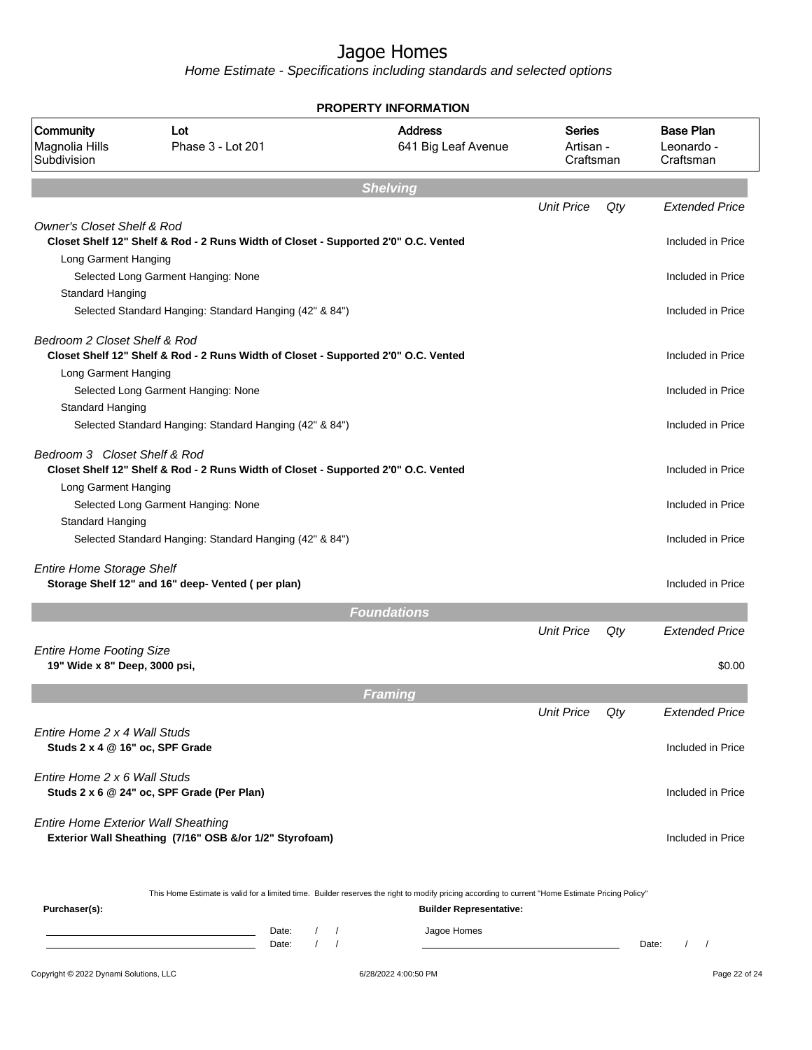|                                                                 |                                                                                                                                                                                         | PROPERTY INFORMATION                                                                                                                                                               |                                         |     |                                             |
|-----------------------------------------------------------------|-----------------------------------------------------------------------------------------------------------------------------------------------------------------------------------------|------------------------------------------------------------------------------------------------------------------------------------------------------------------------------------|-----------------------------------------|-----|---------------------------------------------|
| Community<br>Magnolia Hills<br>Subdivision                      | Lot<br>Phase 3 - Lot 201                                                                                                                                                                | <b>Address</b><br>641 Big Leaf Avenue                                                                                                                                              | <b>Series</b><br>Artisan -<br>Craftsman |     | <b>Base Plan</b><br>Leonardo -<br>Craftsman |
|                                                                 |                                                                                                                                                                                         | <b>Shelving</b>                                                                                                                                                                    |                                         |     |                                             |
|                                                                 |                                                                                                                                                                                         |                                                                                                                                                                                    | <b>Unit Price</b>                       | Qty | <b>Extended Price</b>                       |
| <b>Owner's Closet Shelf &amp; Rod</b>                           | Closet Shelf 12" Shelf & Rod - 2 Runs Width of Closet - Supported 2'0" O.C. Vented                                                                                                      |                                                                                                                                                                                    |                                         |     | Included in Price                           |
| Long Garment Hanging<br>Standard Hanging                        | Selected Long Garment Hanging: None                                                                                                                                                     |                                                                                                                                                                                    |                                         |     | Included in Price                           |
|                                                                 | Selected Standard Hanging: Standard Hanging (42" & 84")                                                                                                                                 |                                                                                                                                                                                    |                                         |     | Included in Price                           |
| Bedroom 2 Closet Shelf & Rod<br>Long Garment Hanging            | Closet Shelf 12" Shelf & Rod - 2 Runs Width of Closet - Supported 2'0" O.C. Vented                                                                                                      |                                                                                                                                                                                    |                                         |     | Included in Price                           |
| Standard Hanging                                                | Selected Long Garment Hanging: None                                                                                                                                                     |                                                                                                                                                                                    |                                         |     | Included in Price                           |
|                                                                 | Selected Standard Hanging: Standard Hanging (42" & 84")                                                                                                                                 |                                                                                                                                                                                    |                                         |     | Included in Price                           |
| Bedroom 3 Closet Shelf & Rod<br>Long Garment Hanging            | Closet Shelf 12" Shelf & Rod - 2 Runs Width of Closet - Supported 2'0" O.C. Vented                                                                                                      |                                                                                                                                                                                    |                                         |     | Included in Price                           |
| <b>Standard Hanging</b>                                         | Selected Long Garment Hanging: None                                                                                                                                                     |                                                                                                                                                                                    |                                         |     | Included in Price                           |
|                                                                 | Selected Standard Hanging: Standard Hanging (42" & 84")                                                                                                                                 |                                                                                                                                                                                    |                                         |     | Included in Price                           |
| <b>Entire Home Storage Shelf</b>                                | Storage Shelf 12" and 16" deep- Vented (per plan)                                                                                                                                       |                                                                                                                                                                                    |                                         |     | Included in Price                           |
|                                                                 |                                                                                                                                                                                         | <b>Foundations</b>                                                                                                                                                                 |                                         |     |                                             |
| <b>Entire Home Footing Size</b>                                 |                                                                                                                                                                                         |                                                                                                                                                                                    | <b>Unit Price</b>                       | Qty | <b>Extended Price</b>                       |
| 19" Wide x 8" Deep, 3000 psi,                                   |                                                                                                                                                                                         |                                                                                                                                                                                    |                                         |     | \$0.00                                      |
|                                                                 |                                                                                                                                                                                         | Framing                                                                                                                                                                            |                                         |     |                                             |
|                                                                 |                                                                                                                                                                                         |                                                                                                                                                                                    | <b>Unit Price</b>                       | Qty | <b>Extended Price</b>                       |
| Fntire Home 2 x 4 Wall Studs<br>Studs 2 x 4 @ 16" oc, SPF Grade |                                                                                                                                                                                         |                                                                                                                                                                                    |                                         |     | Included in Price                           |
| Entire Home 2 x 6 Wall Studs                                    | Studs 2 x 6 @ 24" oc, SPF Grade (Per Plan)                                                                                                                                              |                                                                                                                                                                                    |                                         |     | Included in Price                           |
| <b>Entire Home Exterior Wall Sheathing</b>                      | Exterior Wall Sheathing (7/16" OSB &/or 1/2" Styrofoam)                                                                                                                                 |                                                                                                                                                                                    |                                         |     | Included in Price                           |
| Purchaser(s):                                                   |                                                                                                                                                                                         | This Home Estimate is valid for a limited time. Builder reserves the right to modify pricing according to current "Home Estimate Pricing Policy"<br><b>Builder Representative:</b> |                                         |     |                                             |
|                                                                 | $\sqrt{2}$<br>Date:<br>the control of the control of the control of the control of the control of<br>$\prime$<br><u> 1989 - Johann Barn, fransk politik fotograf (d. 1989)</u><br>Date: | Jagoe Homes<br>$\sqrt{ }$<br>$\sqrt{ }$                                                                                                                                            |                                         |     | $\left  \right $<br>Date:                   |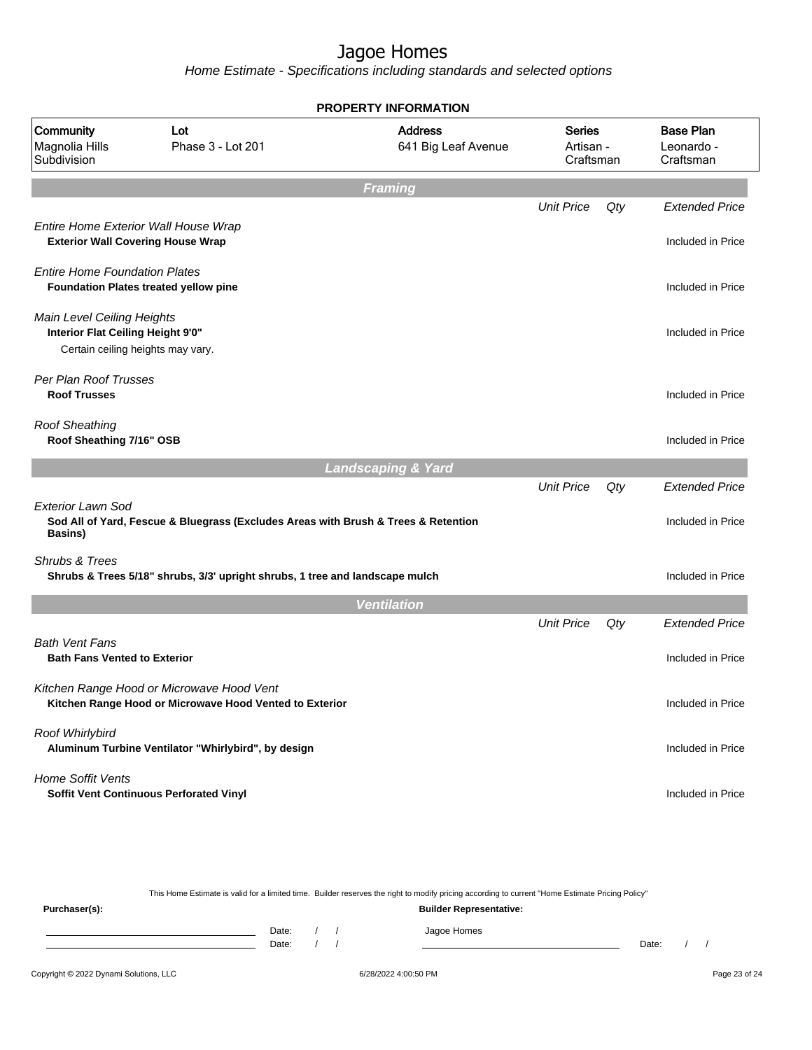Home Estimate - Specifications including standards and selected options

|                                                                                                      |                                                                                                      | <b>PROPERTY INFORMATION</b>           |                                  |     |                                             |
|------------------------------------------------------------------------------------------------------|------------------------------------------------------------------------------------------------------|---------------------------------------|----------------------------------|-----|---------------------------------------------|
| Community<br>Magnolia Hills<br>Subdivision                                                           | Lot<br>Phase 3 - Lot 201                                                                             | <b>Address</b><br>641 Big Leaf Avenue | Series<br>Artisan -<br>Craftsman |     | <b>Base Plan</b><br>Leonardo -<br>Craftsman |
|                                                                                                      |                                                                                                      | Framing                               |                                  |     |                                             |
|                                                                                                      |                                                                                                      |                                       | <b>Unit Price</b>                | Qty | <b>Extended Price</b>                       |
| Entire Home Exterior Wall House Wrap<br><b>Exterior Wall Covering House Wrap</b>                     |                                                                                                      |                                       |                                  |     | Included in Price                           |
| <b>Entire Home Foundation Plates</b>                                                                 | <b>Foundation Plates treated yellow pine</b>                                                         |                                       |                                  |     | Included in Price                           |
| Main Level Ceiling Heights<br>Interior Flat Ceiling Height 9'0"<br>Certain ceiling heights may vary. |                                                                                                      |                                       |                                  |     | Included in Price                           |
| Per Plan Roof Trusses<br><b>Roof Trusses</b>                                                         |                                                                                                      |                                       |                                  |     | Included in Price                           |
| <b>Roof Sheathing</b><br>Roof Sheathing 7/16" OSB                                                    |                                                                                                      |                                       |                                  |     | Included in Price                           |
|                                                                                                      |                                                                                                      | <b>Landscaping &amp; Yard</b>         |                                  |     |                                             |
| Exterior Lawn Sod                                                                                    | Sod All of Yard, Fescue & Bluegrass (Excludes Areas with Brush & Trees & Retention                   |                                       | <b>Unit Price</b>                | Qty | <b>Extended Price</b><br>Included in Price  |
| Basins)                                                                                              |                                                                                                      |                                       |                                  |     |                                             |
| <b>Shrubs &amp; Trees</b>                                                                            | Shrubs & Trees 5/18" shrubs, 3/3' upright shrubs, 1 tree and landscape mulch                         |                                       |                                  |     | Included in Price                           |
|                                                                                                      |                                                                                                      | <b>Ventilation</b>                    |                                  |     |                                             |
|                                                                                                      |                                                                                                      |                                       | <b>Unit Price</b>                | Qty | <b>Extended Price</b>                       |
| <b>Bath Vent Fans</b><br><b>Bath Fans Vented to Exterior</b>                                         |                                                                                                      |                                       |                                  |     | Included in Price                           |
|                                                                                                      | Kitchen Range Hood or Microwave Hood Vent<br>Kitchen Range Hood or Microwave Hood Vented to Exterior |                                       |                                  |     | Included in Price                           |
| Roof Whirlybird                                                                                      | Aluminum Turbine Ventilator "Whirlybird", by design                                                  |                                       |                                  |     | Included in Price                           |
| <b>Home Soffit Vents</b>                                                                             | <b>Soffit Vent Continuous Perforated Vinyl</b>                                                       |                                       |                                  |     | Included in Price                           |

This Home Estimate is valid for a limited time. Builder reserves the right to modify pricing according to current "Home Estimate Pricing Policy"

**Purchaser(s): Builder Representative:** Date: / / Jagoe Homes<br>Date: / / Jagoe Homes Date: / / **Date: / / 2006** Date: / / / Date: / / / Date: / / / 2006 Date: / / / 2006 Date: / / / 2006 Date: / / / 2006 Date: / / / 2007 Date: / / / 2007 Date: / / / 2007 Date: / / / 2007 Date: / / / 2007 Date: / / / 2007 D